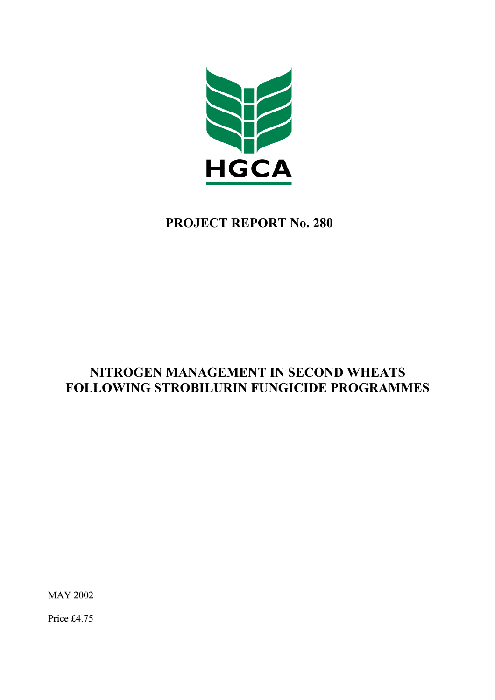

# **PROJECT REPORT No. 280**

# **NITROGEN MANAGEMENT IN SECOND WHEATS FOLLOWING STROBILURIN FUNGICIDE PROGRAMMES**

MAY 2002

Price £4.75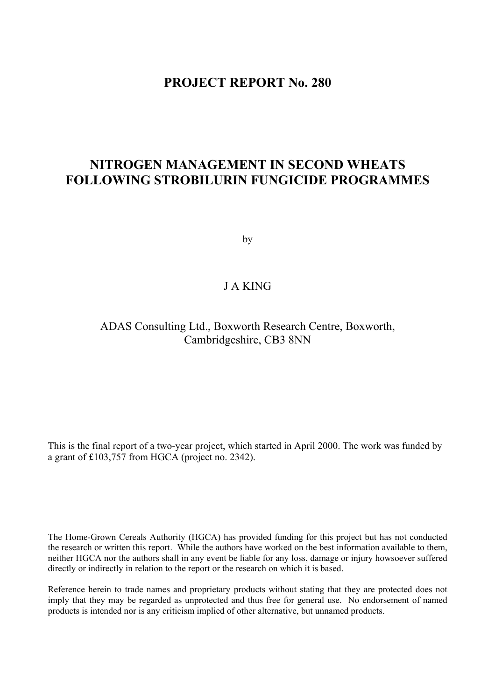## **PROJECT REPORT No. 280**

# **NITROGEN MANAGEMENT IN SECOND WHEATS FOLLOWING STROBILURIN FUNGICIDE PROGRAMMES**

by

## J A KING

## ADAS Consulting Ltd., Boxworth Research Centre, Boxworth, Cambridgeshire, CB3 8NN

This is the final report of a two-year project, which started in April 2000. The work was funded by a grant of £103,757 from HGCA (project no. 2342).

The Home-Grown Cereals Authority (HGCA) has provided funding for this project but has not conducted the research or written this report. While the authors have worked on the best information available to them, neither HGCA nor the authors shall in any event be liable for any loss, damage or injury howsoever suffered directly or indirectly in relation to the report or the research on which it is based.

Reference herein to trade names and proprietary products without stating that they are protected does not imply that they may be regarded as unprotected and thus free for general use. No endorsement of named products is intended nor is any criticism implied of other alternative, but unnamed products.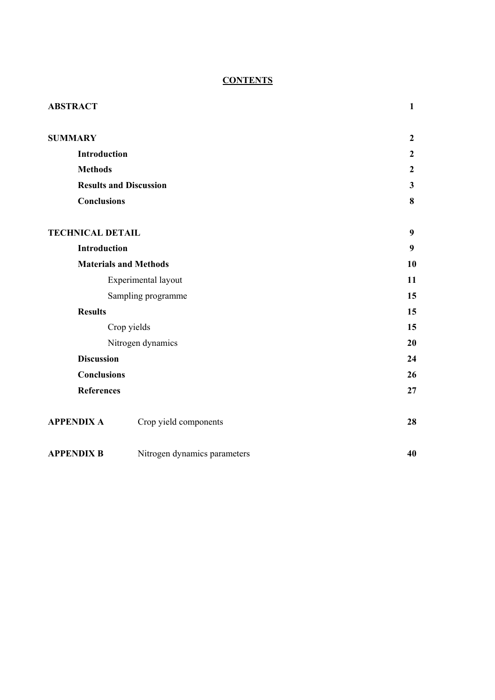## **CONTENTS**

| <b>ABSTRACT</b>         |                               | $\mathbf{1}$     |
|-------------------------|-------------------------------|------------------|
|                         |                               |                  |
| <b>SUMMARY</b>          |                               | $\boldsymbol{2}$ |
|                         | Introduction                  | $\boldsymbol{2}$ |
| <b>Methods</b>          |                               | $\boldsymbol{2}$ |
|                         | <b>Results and Discussion</b> | $\mathbf{3}$     |
|                         | <b>Conclusions</b>            | 8                |
|                         |                               |                  |
| <b>TECHNICAL DETAIL</b> |                               | 9                |
|                         | <b>Introduction</b>           | 9                |
|                         | <b>Materials and Methods</b>  | 10               |
|                         | Experimental layout           | 11               |
|                         | Sampling programme            | 15               |
| <b>Results</b>          |                               | 15               |
|                         | Crop yields                   | 15               |
|                         | Nitrogen dynamics             | 20               |
|                         | <b>Discussion</b>             | 24               |
|                         | <b>Conclusions</b>            | 26               |
|                         | <b>References</b>             | 27               |
|                         |                               |                  |
| <b>APPENDIX A</b>       | Crop yield components         | 28               |
|                         |                               |                  |
| <b>APPENDIX B</b>       | Nitrogen dynamics parameters  | 40               |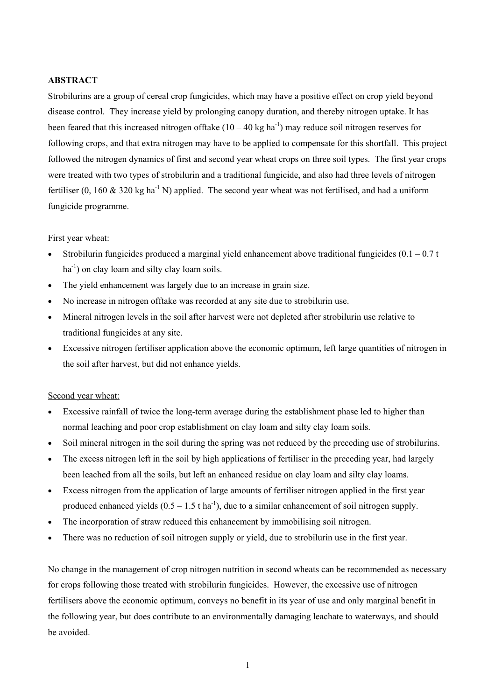## **ABSTRACT**

Strobilurins are a group of cereal crop fungicides, which may have a positive effect on crop yield beyond disease control. They increase yield by prolonging canopy duration, and thereby nitrogen uptake. It has been feared that this increased nitrogen of ftake  $(10 - 40 \text{ kg ha}^{-1})$  may reduce soil nitrogen reserves for following crops, and that extra nitrogen may have to be applied to compensate for this shortfall. This project followed the nitrogen dynamics of first and second year wheat crops on three soil types. The first year crops were treated with two types of strobilurin and a traditional fungicide, and also had three levels of nitrogen fertiliser (0, 160  $\&$  320 kg ha<sup>-1</sup> N) applied. The second year wheat was not fertilised, and had a uniform fungicide programme.

#### First year wheat:

- Strobilurin fungicides produced a marginal yield enhancement above traditional fungicides  $(0.1 0.7 t)$  $ha^{-1}$ ) on clay loam and silty clay loam soils.
- The yield enhancement was largely due to an increase in grain size.
- No increase in nitrogen offtake was recorded at any site due to strobilurin use.
- Mineral nitrogen levels in the soil after harvest were not depleted after strobilurin use relative to traditional fungicides at any site.
- Excessive nitrogen fertiliser application above the economic optimum, left large quantities of nitrogen in the soil after harvest, but did not enhance yields.

## Second year wheat:

- Excessive rainfall of twice the long-term average during the establishment phase led to higher than normal leaching and poor crop establishment on clay loam and silty clay loam soils.
- Soil mineral nitrogen in the soil during the spring was not reduced by the preceding use of strobilurins.
- The excess nitrogen left in the soil by high applications of fertiliser in the preceding year, had largely been leached from all the soils, but left an enhanced residue on clay loam and silty clay loams.
- Excess nitrogen from the application of large amounts of fertiliser nitrogen applied in the first year produced enhanced yields  $(0.5 - 1.5 \text{ t ha}^{-1})$ , due to a similar enhancement of soil nitrogen supply.
- The incorporation of straw reduced this enhancement by immobilising soil nitrogen.
- There was no reduction of soil nitrogen supply or yield, due to strobilurin use in the first year.

No change in the management of crop nitrogen nutrition in second wheats can be recommended as necessary for crops following those treated with strobilurin fungicides. However, the excessive use of nitrogen fertilisers above the economic optimum, conveys no benefit in its year of use and only marginal benefit in the following year, but does contribute to an environmentally damaging leachate to waterways, and should be avoided.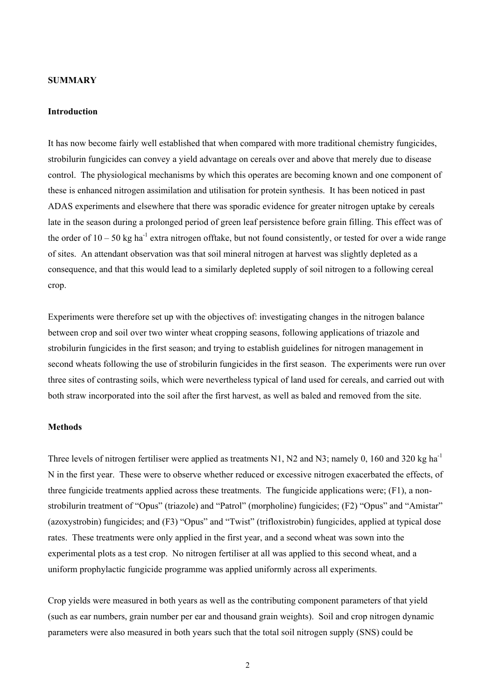#### **SUMMARY**

#### **Introduction**

It has now become fairly well established that when compared with more traditional chemistry fungicides, strobilurin fungicides can convey a yield advantage on cereals over and above that merely due to disease control. The physiological mechanisms by which this operates are becoming known and one component of these is enhanced nitrogen assimilation and utilisation for protein synthesis. It has been noticed in past ADAS experiments and elsewhere that there was sporadic evidence for greater nitrogen uptake by cereals late in the season during a prolonged period of green leaf persistence before grain filling. This effect was of the order of  $10 - 50$  kg ha<sup>-1</sup> extra nitrogen offtake, but not found consistently, or tested for over a wide range of sites. An attendant observation was that soil mineral nitrogen at harvest was slightly depleted as a consequence, and that this would lead to a similarly depleted supply of soil nitrogen to a following cereal crop.

Experiments were therefore set up with the objectives of: investigating changes in the nitrogen balance between crop and soil over two winter wheat cropping seasons, following applications of triazole and strobilurin fungicides in the first season; and trying to establish guidelines for nitrogen management in second wheats following the use of strobilurin fungicides in the first season. The experiments were run over three sites of contrasting soils, which were nevertheless typical of land used for cereals, and carried out with both straw incorporated into the soil after the first harvest, as well as baled and removed from the site.

#### **Methods**

Three levels of nitrogen fertiliser were applied as treatments N1, N2 and N3; namely 0, 160 and 320 kg ha<sup>-1</sup> N in the first year. These were to observe whether reduced or excessive nitrogen exacerbated the effects, of three fungicide treatments applied across these treatments. The fungicide applications were; (F1), a nonstrobilurin treatment of "Opus" (triazole) and "Patrol" (morpholine) fungicides; (F2) "Opus" and "Amistar" (azoxystrobin) fungicides; and (F3) "Opus" and "Twist" (trifloxistrobin) fungicides, applied at typical dose rates. These treatments were only applied in the first year, and a second wheat was sown into the experimental plots as a test crop. No nitrogen fertiliser at all was applied to this second wheat, and a uniform prophylactic fungicide programme was applied uniformly across all experiments.

Crop yields were measured in both years as well as the contributing component parameters of that yield (such as ear numbers, grain number per ear and thousand grain weights). Soil and crop nitrogen dynamic parameters were also measured in both years such that the total soil nitrogen supply (SNS) could be

2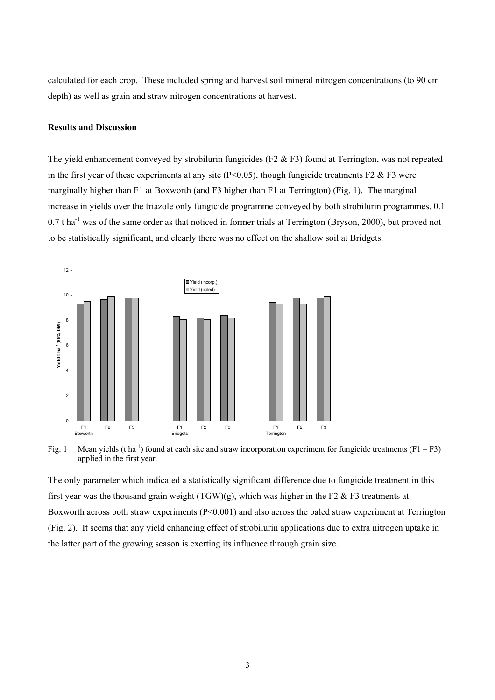calculated for each crop. These included spring and harvest soil mineral nitrogen concentrations (to 90 cm depth) as well as grain and straw nitrogen concentrations at harvest.

### **Results and Discussion**

The yield enhancement conveyed by strobilurin fungicides (F2  $&$  F3) found at Terrington, was not repeated in the first year of these experiments at any site ( $P<0.05$ ), though fungicide treatments F2 & F3 were marginally higher than F1 at Boxworth (and F3 higher than F1 at Terrington) (Fig. 1). The marginal increase in yields over the triazole only fungicide programme conveyed by both strobilurin programmes, 0.1  $0.7$  t ha<sup>-1</sup> was of the same order as that noticed in former trials at Terrington (Bryson, 2000), but proved not to be statistically significant, and clearly there was no effect on the shallow soil at Bridgets.



Fig. 1 Mean yields (t ha<sup>-1</sup>) found at each site and straw incorporation experiment for fungicide treatments (F1 – F3) applied in the first year.

The only parameter which indicated a statistically significant difference due to fungicide treatment in this first year was the thousand grain weight  $(TGW)(g)$ , which was higher in the F2 & F3 treatments at Boxworth across both straw experiments (P<0.001) and also across the baled straw experiment at Terrington (Fig. 2). It seems that any yield enhancing effect of strobilurin applications due to extra nitrogen uptake in the latter part of the growing season is exerting its influence through grain size.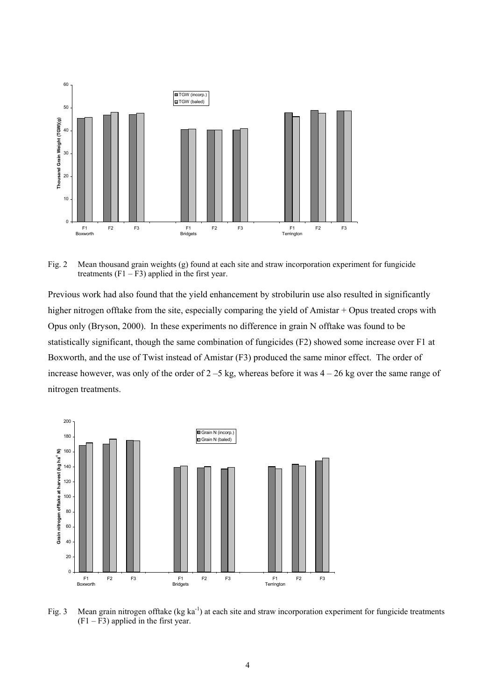

Fig. 2 Mean thousand grain weights (g) found at each site and straw incorporation experiment for fungicide treatments  $(F1 - F3)$  applied in the first year.

Previous work had also found that the yield enhancement by strobilurin use also resulted in significantly higher nitrogen offtake from the site, especially comparing the yield of Amistar + Opus treated crops with Opus only (Bryson, 2000). In these experiments no difference in grain N offtake was found to be statistically significant, though the same combination of fungicides (F2) showed some increase over F1 at Boxworth, and the use of Twist instead of Amistar (F3) produced the same minor effect. The order of increase however, was only of the order of 2 –5 kg, whereas before it was 4 – 26 kg over the same range of nitrogen treatments.



Fig. 3 Mean grain nitrogen offtake  $(kg \text{ ka}^{-1})$  at each site and straw incorporation experiment for fungicide treatments  $(F1 - F3)$  applied in the first year.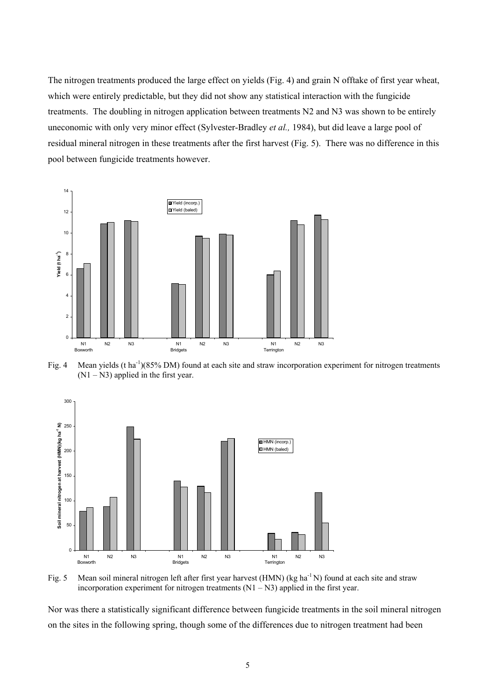The nitrogen treatments produced the large effect on yields (Fig. 4) and grain N offtake of first year wheat, which were entirely predictable, but they did not show any statistical interaction with the fungicide treatments. The doubling in nitrogen application between treatments N2 and N3 was shown to be entirely uneconomic with only very minor effect (Sylvester-Bradley *et al.,* 1984), but did leave a large pool of residual mineral nitrogen in these treatments after the first harvest (Fig. 5). There was no difference in this pool between fungicide treatments however.



Fig. 4 Mean yields (t ha<sup>-1</sup>)(85% DM) found at each site and straw incorporation experiment for nitrogen treatments  $(N1 - N3)$  applied in the first year.





Nor was there a statistically significant difference between fungicide treatments in the soil mineral nitrogen on the sites in the following spring, though some of the differences due to nitrogen treatment had been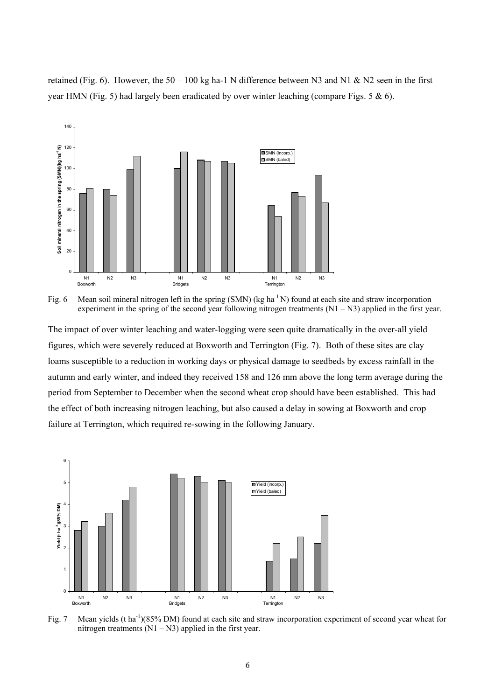retained (Fig. 6). However, the  $50 - 100$  kg ha-1 N difference between N3 and N1 & N2 seen in the first year HMN (Fig. 5) had largely been eradicated by over winter leaching (compare Figs. 5 & 6).



Fig. 6 Mean soil mineral nitrogen left in the spring (SMN) (kg ha<sup>-1</sup> N) found at each site and straw incorporation experiment in the spring of the second year following nitrogen treatments  $(N1 - N3)$  applied in the first year.

The impact of over winter leaching and water-logging were seen quite dramatically in the over-all yield figures, which were severely reduced at Boxworth and Terrington (Fig. 7). Both of these sites are clay loams susceptible to a reduction in working days or physical damage to seedbeds by excess rainfall in the autumn and early winter, and indeed they received 158 and 126 mm above the long term average during the period from September to December when the second wheat crop should have been established. This had the effect of both increasing nitrogen leaching, but also caused a delay in sowing at Boxworth and crop failure at Terrington, which required re-sowing in the following January.



Fig. 7 Mean yields (t ha<sup>-1</sup>)(85% DM) found at each site and straw incorporation experiment of second year wheat for nitrogen treatments  $(N1 - N3)$  applied in the first year.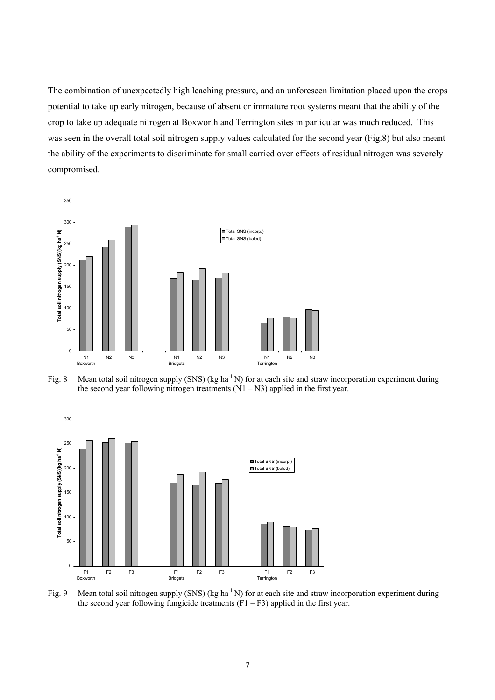The combination of unexpectedly high leaching pressure, and an unforeseen limitation placed upon the crops potential to take up early nitrogen, because of absent or immature root systems meant that the ability of the crop to take up adequate nitrogen at Boxworth and Terrington sites in particular was much reduced. This was seen in the overall total soil nitrogen supply values calculated for the second year (Fig.8) but also meant the ability of the experiments to discriminate for small carried over effects of residual nitrogen was severely compromised.







Fig. 9 Mean total soil nitrogen supply (SNS) (kg ha<sup>-1</sup> N) for at each site and straw incorporation experiment during the second year following fungicide treatments  $(F1 - F3)$  applied in the first year.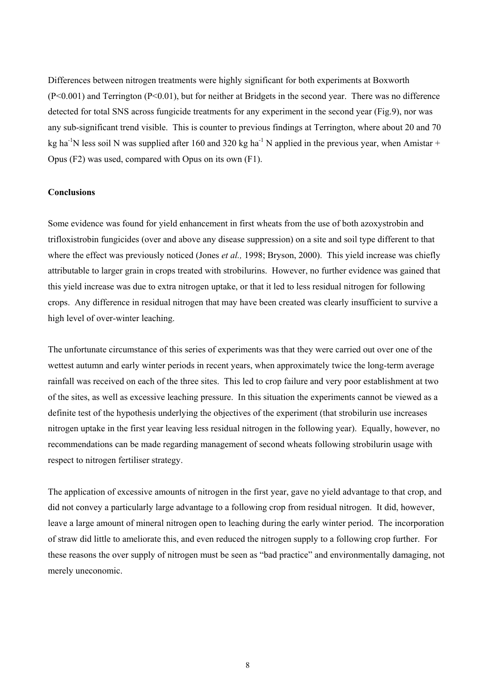Differences between nitrogen treatments were highly significant for both experiments at Boxworth (P<0.001) and Terrington (P<0.01), but for neither at Bridgets in the second year. There was no difference detected for total SNS across fungicide treatments for any experiment in the second year (Fig.9), nor was any sub-significant trend visible. This is counter to previous findings at Terrington, where about 20 and 70 kg ha<sup>-1</sup>N less soil N was supplied after 160 and 320 kg ha<sup>-1</sup> N applied in the previous year, when Amistar + Opus (F2) was used, compared with Opus on its own (F1).

## **Conclusions**

Some evidence was found for yield enhancement in first wheats from the use of both azoxystrobin and trifloxistrobin fungicides (over and above any disease suppression) on a site and soil type different to that where the effect was previously noticed (Jones *et al.*, 1998; Bryson, 2000). This yield increase was chiefly attributable to larger grain in crops treated with strobilurins. However, no further evidence was gained that this yield increase was due to extra nitrogen uptake, or that it led to less residual nitrogen for following crops. Any difference in residual nitrogen that may have been created was clearly insufficient to survive a high level of over-winter leaching.

The unfortunate circumstance of this series of experiments was that they were carried out over one of the wettest autumn and early winter periods in recent years, when approximately twice the long-term average rainfall was received on each of the three sites. This led to crop failure and very poor establishment at two of the sites, as well as excessive leaching pressure. In this situation the experiments cannot be viewed as a definite test of the hypothesis underlying the objectives of the experiment (that strobilurin use increases nitrogen uptake in the first year leaving less residual nitrogen in the following year). Equally, however, no recommendations can be made regarding management of second wheats following strobilurin usage with respect to nitrogen fertiliser strategy.

The application of excessive amounts of nitrogen in the first year, gave no yield advantage to that crop, and did not convey a particularly large advantage to a following crop from residual nitrogen. It did, however, leave a large amount of mineral nitrogen open to leaching during the early winter period. The incorporation of straw did little to ameliorate this, and even reduced the nitrogen supply to a following crop further. For these reasons the over supply of nitrogen must be seen as "bad practice" and environmentally damaging, not merely uneconomic.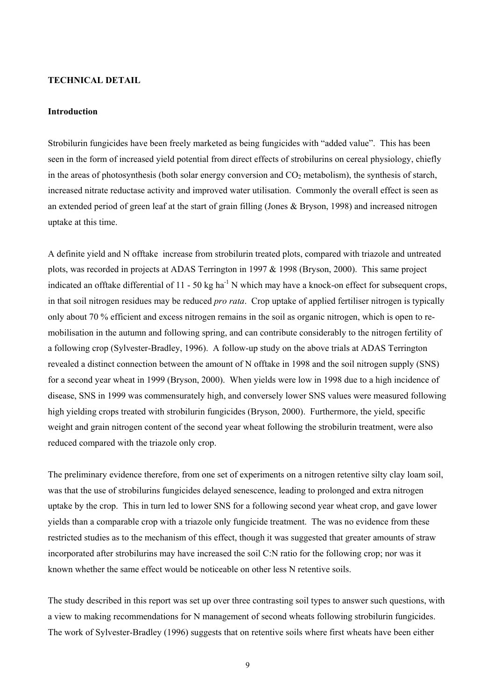### **TECHNICAL DETAIL**

#### **Introduction**

Strobilurin fungicides have been freely marketed as being fungicides with "added value". This has been seen in the form of increased yield potential from direct effects of strobilurins on cereal physiology, chiefly in the areas of photosynthesis (both solar energy conversion and  $CO<sub>2</sub>$  metabolism), the synthesis of starch, increased nitrate reductase activity and improved water utilisation. Commonly the overall effect is seen as an extended period of green leaf at the start of grain filling (Jones & Bryson, 1998) and increased nitrogen uptake at this time.

A definite yield and N offtake increase from strobilurin treated plots, compared with triazole and untreated plots, was recorded in projects at ADAS Terrington in 1997 & 1998 (Bryson, 2000). This same project indicated an offtake differential of  $11 - 50$  kg ha<sup>-1</sup> N which may have a knock-on effect for subsequent crops, in that soil nitrogen residues may be reduced *pro rata*. Crop uptake of applied fertiliser nitrogen is typically only about 70 % efficient and excess nitrogen remains in the soil as organic nitrogen, which is open to remobilisation in the autumn and following spring, and can contribute considerably to the nitrogen fertility of a following crop (Sylvester-Bradley, 1996). A follow-up study on the above trials at ADAS Terrington revealed a distinct connection between the amount of N offtake in 1998 and the soil nitrogen supply (SNS) for a second year wheat in 1999 (Bryson, 2000). When yields were low in 1998 due to a high incidence of disease, SNS in 1999 was commensurately high, and conversely lower SNS values were measured following high yielding crops treated with strobilurin fungicides (Bryson, 2000). Furthermore, the yield, specific weight and grain nitrogen content of the second year wheat following the strobilurin treatment, were also reduced compared with the triazole only crop.

The preliminary evidence therefore, from one set of experiments on a nitrogen retentive silty clay loam soil, was that the use of strobilurins fungicides delayed senescence, leading to prolonged and extra nitrogen uptake by the crop. This in turn led to lower SNS for a following second year wheat crop, and gave lower yields than a comparable crop with a triazole only fungicide treatment. The was no evidence from these restricted studies as to the mechanism of this effect, though it was suggested that greater amounts of straw incorporated after strobilurins may have increased the soil C:N ratio for the following crop; nor was it known whether the same effect would be noticeable on other less N retentive soils.

The study described in this report was set up over three contrasting soil types to answer such questions, with a view to making recommendations for N management of second wheats following strobilurin fungicides. The work of Sylvester-Bradley (1996) suggests that on retentive soils where first wheats have been either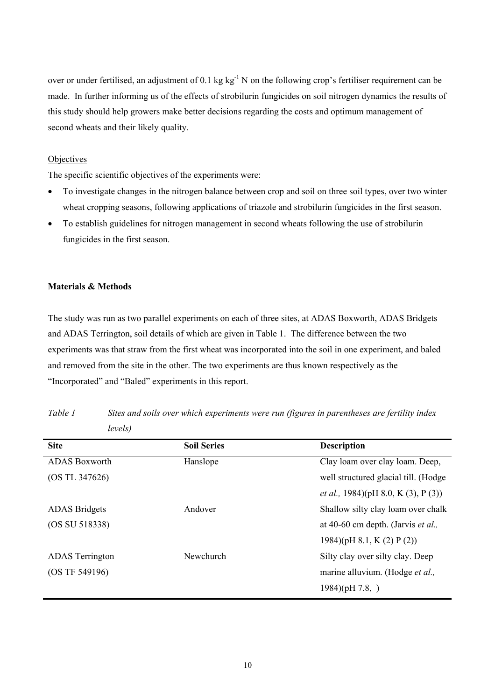over or under fertilised, an adjustment of 0.1 kg kg<sup>-1</sup> N on the following crop's fertiliser requirement can be made. In further informing us of the effects of strobilurin fungicides on soil nitrogen dynamics the results of this study should help growers make better decisions regarding the costs and optimum management of second wheats and their likely quality.

## **Objectives**

The specific scientific objectives of the experiments were:

- To investigate changes in the nitrogen balance between crop and soil on three soil types, over two winter wheat cropping seasons, following applications of triazole and strobilurin fungicides in the first season.
- To establish guidelines for nitrogen management in second wheats following the use of strobilurin fungicides in the first season.

#### **Materials & Methods**

The study was run as two parallel experiments on each of three sites, at ADAS Boxworth, ADAS Bridgets and ADAS Terrington, soil details of which are given in Table 1. The difference between the two experiments was that straw from the first wheat was incorporated into the soil in one experiment, and baled and removed from the site in the other. The two experiments are thus known respectively as the "Incorporated" and "Baled" experiments in this report.

| <b>Site</b>            | <b>Soil Series</b> | <b>Description</b>                          |
|------------------------|--------------------|---------------------------------------------|
| <b>ADAS</b> Boxworth   | Hanslope           | Clay loam over clay loam. Deep,             |
| (OS TL 347626)         |                    | well structured glacial till. (Hodge        |
|                        |                    | <i>et al.</i> , 1984)(pH 8.0, K (3), P (3)) |
| <b>ADAS</b> Bridgets   | Andover            | Shallow silty clay loam over chalk          |
| (OS SU 518338)         |                    | at 40-60 cm depth. (Jarvis et al.,          |
|                        |                    | 1984)(pH 8.1, K $(2)$ P $(2)$ )             |
| <b>ADAS</b> Terrington | Newchurch          | Silty clay over silty clay. Deep            |
| (OS TF 549196)         |                    | marine alluvium. (Hodge et al.,             |
|                        |                    | $1984$ )(pH 7.8, )                          |

*Table 1 Sites and soils over which experiments were run (figures in parentheses are fertility index levels)*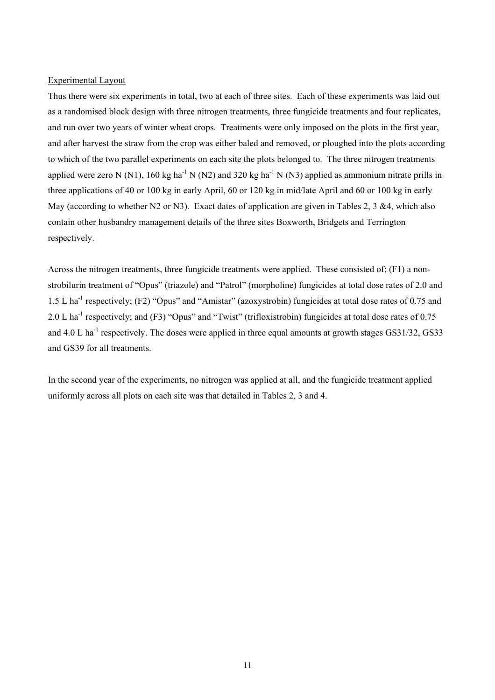### Experimental Layout

Thus there were six experiments in total, two at each of three sites. Each of these experiments was laid out as a randomised block design with three nitrogen treatments, three fungicide treatments and four replicates, and run over two years of winter wheat crops. Treatments were only imposed on the plots in the first year, and after harvest the straw from the crop was either baled and removed, or ploughed into the plots according to which of the two parallel experiments on each site the plots belonged to. The three nitrogen treatments applied were zero N (N1), 160 kg ha<sup>-1</sup> N (N2) and 320 kg ha<sup>-1</sup> N (N3) applied as ammonium nitrate prills in three applications of 40 or 100 kg in early April, 60 or 120 kg in mid/late April and 60 or 100 kg in early May (according to whether N2 or N3). Exact dates of application are given in Tables 2, 3 &4, which also contain other husbandry management details of the three sites Boxworth, Bridgets and Terrington respectively.

Across the nitrogen treatments, three fungicide treatments were applied. These consisted of; (F1) a nonstrobilurin treatment of "Opus" (triazole) and "Patrol" (morpholine) fungicides at total dose rates of 2.0 and 1.5 L ha-1 respectively; (F2) "Opus" and "Amistar" (azoxystrobin) fungicides at total dose rates of 0.75 and 2.0 L ha<sup>-1</sup> respectively; and (F3) "Opus" and "Twist" (trifloxistrobin) fungicides at total dose rates of 0.75 and 4.0 L ha<sup>-1</sup> respectively. The doses were applied in three equal amounts at growth stages  $GS31/32$ ,  $GS33$ and GS39 for all treatments.

In the second year of the experiments, no nitrogen was applied at all, and the fungicide treatment applied uniformly across all plots on each site was that detailed in Tables 2, 3 and 4.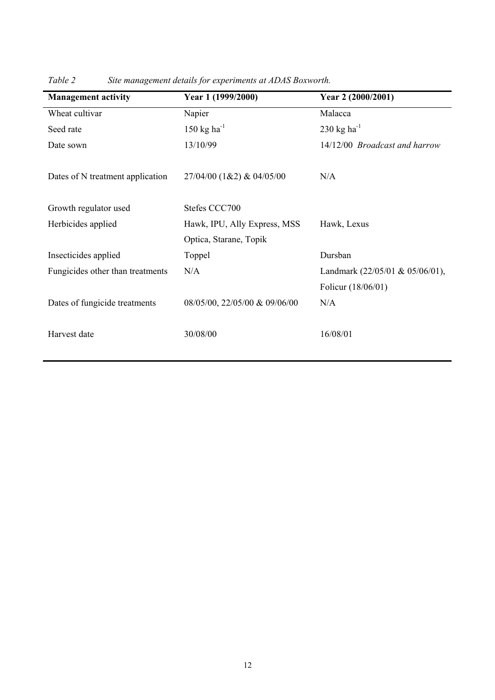| <b>Management activity</b>       | Year 1 (1999/2000)            | Year 2 (2000/2001)                  |
|----------------------------------|-------------------------------|-------------------------------------|
| Wheat cultivar                   | Napier                        | Malacca                             |
| Seed rate                        | 150 kg ha $^{-1}$             | 230 kg ha <sup>-1</sup>             |
| Date sown                        | 13/10/99                      | 14/12/00 Broadcast and harrow       |
| Dates of N treatment application | 27/04/00 (1&2) & 04/05/00     | N/A                                 |
| Growth regulator used            | Stefes CCC700                 |                                     |
| Herbicides applied               | Hawk, IPU, Ally Express, MSS  | Hawk, Lexus                         |
|                                  | Optica, Starane, Topik        |                                     |
| Insecticides applied             | Toppel                        | Dursban                             |
| Fungicides other than treatments | N/A                           | Landmark $(22/05/01 \& 05/06/01)$ , |
|                                  |                               | Folicur (18/06/01)                  |
| Dates of fungicide treatments    | 08/05/00, 22/05/00 & 09/06/00 | N/A                                 |
| Harvest date                     | 30/08/00                      | 16/08/01                            |

*Table 2 Site management details for experiments at ADAS Boxworth.*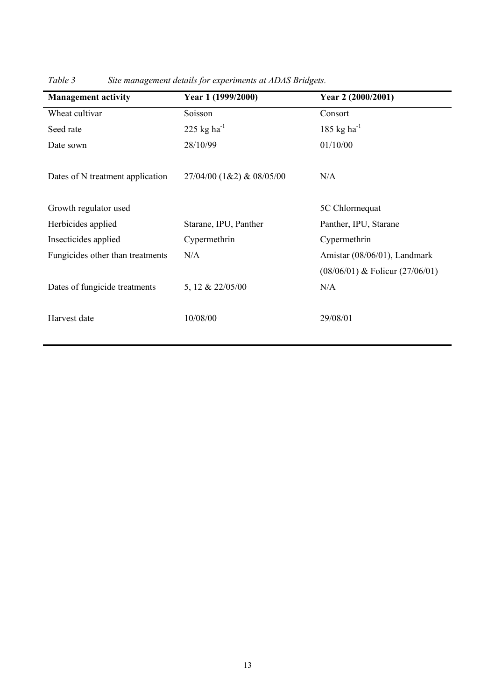| <b>Management activity</b>       | Year 1 (1999/2000)        | Year 2 (2000/2001)                  |
|----------------------------------|---------------------------|-------------------------------------|
| Wheat cultivar                   | Soisson                   | Consort                             |
| Seed rate                        | 225 kg ha $^{-1}$         | $185$ kg ha <sup>-1</sup>           |
| Date sown                        | 28/10/99                  | 01/10/00                            |
| Dates of N treatment application | 27/04/00 (1&2) & 08/05/00 | N/A                                 |
| Growth regulator used            |                           | 5C Chlormequat                      |
| Herbicides applied               | Starane, IPU, Panther     | Panther, IPU, Starane               |
| Insecticides applied             | Cypermethrin              | Cypermethrin                        |
| Fungicides other than treatments | N/A                       | Amistar (08/06/01), Landmark        |
|                                  |                           | $(08/06/01)$ & Folicur $(27/06/01)$ |
| Dates of fungicide treatments    | 5, 12 & 22/05/00          | N/A                                 |
| Harvest date                     | 10/08/00                  | 29/08/01                            |

*Table 3 Site management details for experiments at ADAS Bridgets.*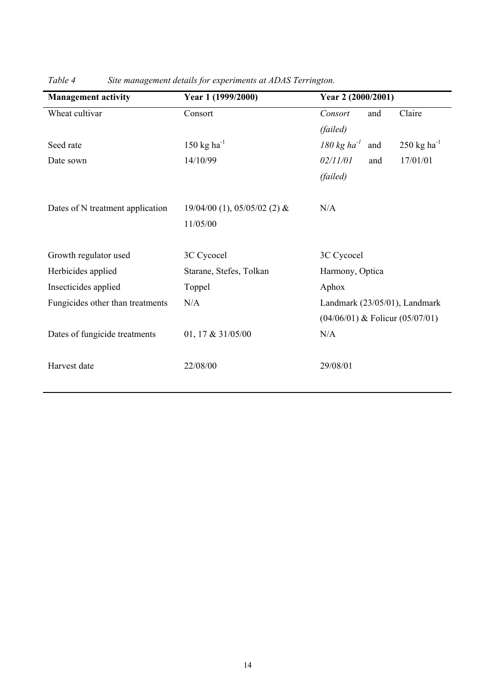| <b>Management activity</b>       | Year 1 (1999/2000)                           | Year 2 (2000/2001)                                                          |
|----------------------------------|----------------------------------------------|-----------------------------------------------------------------------------|
| Wheat cultivar                   | Consort                                      | Claire<br>and<br>Consort                                                    |
|                                  |                                              | (failed)                                                                    |
| Seed rate                        | 150 kg ha <sup>-1</sup>                      | $180 \text{ kg} \text{ ha}^{-1}$<br>$250 \text{ kg} \text{ ha}^{-1}$<br>and |
| Date sown                        | 14/10/99                                     | 17/01/01<br>02/11/01<br>and                                                 |
|                                  |                                              | (failed)                                                                    |
| Dates of N treatment application | $19/04/00$ (1), $05/05/02$ (2) &<br>11/05/00 | N/A                                                                         |
| Growth regulator used            | 3C Cycocel                                   | 3C Cycocel                                                                  |
| Herbicides applied               | Starane, Stefes, Tolkan                      | Harmony, Optica                                                             |
| Insecticides applied             | Toppel                                       | Aphox                                                                       |
| Fungicides other than treatments | N/A                                          | Landmark (23/05/01), Landmark                                               |
|                                  |                                              | $(04/06/01)$ & Folicur $(05/07/01)$                                         |
| Dates of fungicide treatments    | 01, 17 & $31/05/00$                          | N/A                                                                         |
| Harvest date                     | 22/08/00                                     | 29/08/01                                                                    |

*Table 4 Site management details for experiments at ADAS Terrington.*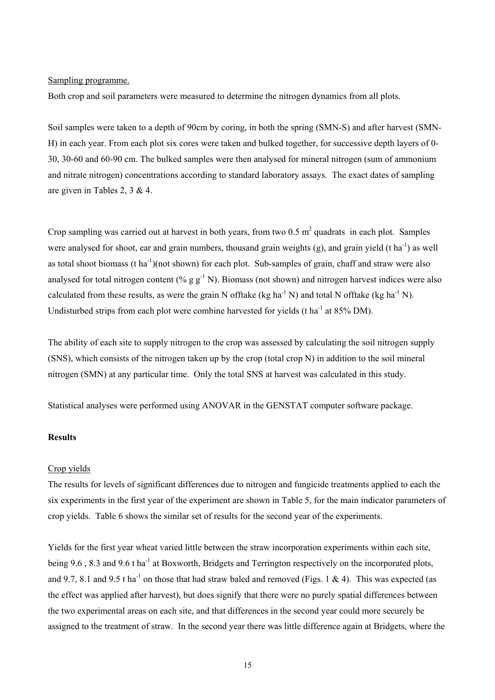### Sampling programme.

Both crop and soil parameters were measured to determine the nitrogen dynamics from all plots.

Soil samples were taken to a depth of 90cm by coring, in both the spring (SMN-S) and after harvest (SMN-H) in each year. From each plot six cores were taken and bulked together, for successive depth layers of 0- 30, 30-60 and 60-90 cm. The bulked samples were then analysed for mineral nitrogen (sum of ammonium and nitrate nitrogen) concentrations according to standard laboratory assays. The exact dates of sampling are given in Tables 2, 3 & 4.

Crop sampling was carried out at harvest in both years, from two  $0.5 \text{ m}^2$  quadrats in each plot. Samples were analysed for shoot, ear and grain numbers, thousand grain weights (g), and grain yield (t ha<sup>-1</sup>) as well as total shoot biomass (t ha<sup>-1</sup>)(not shown) for each plot. Sub-samples of grain, chaff and straw were also analysed for total nitrogen content (% g  $g^{-1}$  N). Biomass (not shown) and nitrogen harvest indices were also calculated from these results, as were the grain N offtake (kg ha<sup>-1</sup> N) and total N offtake (kg ha<sup>-1</sup> N). Undisturbed strips from each plot were combine harvested for yields (t ha<sup>-1</sup> at 85% DM).

The ability of each site to supply nitrogen to the crop was assessed by calculating the soil nitrogen supply (SNS), which consists of the nitrogen taken up by the crop (total crop N) in addition to the soil mineral nitrogen (SMN) at any particular time. Only the total SNS at harvest was calculated in this study.

Statistical analyses were performed using ANOVAR in the GENSTAT computer software package.

## **Results**

#### Crop yields

The results for levels of significant differences due to nitrogen and fungicide treatments applied to each the six experiments in the first year of the experiment are shown in Table 5, for the main indicator parameters of crop yields. Table 6 shows the similar set of results for the second year of the experiments.

Yields for the first year wheat varied little between the straw incorporation experiments within each site, being 9.6, 8.3 and 9.6 t ha<sup>-1</sup> at Boxworth, Bridgets and Terrington respectively on the incorporated plots, and 9.7, 8.1 and 9.5 t ha<sup>-1</sup> on those that had straw baled and removed (Figs. 1 & 4). This was expected (as the effect was applied after harvest), but does signify that there were no purely spatial differences between the two experimental areas on each site, and that differences in the second year could more securely be assigned to the treatment of straw. In the second year there was little difference again at Bridgets, where the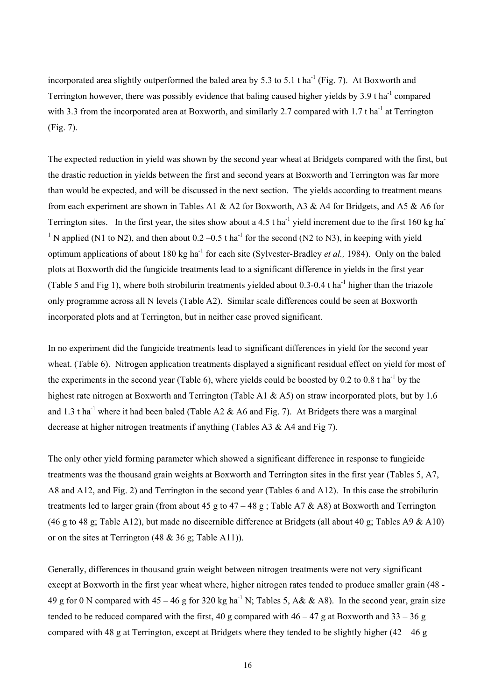incorporated area slightly outperformed the baled area by 5.3 to 5.1 t ha<sup>-1</sup> (Fig. 7). At Boxworth and Terrington however, there was possibly evidence that baling caused higher yields by 3.9 t ha<sup>-1</sup> compared with 3.3 from the incorporated area at Boxworth, and similarly 2.7 compared with 1.7 t ha<sup>-1</sup> at Terrington (Fig. 7).

The expected reduction in yield was shown by the second year wheat at Bridgets compared with the first, but the drastic reduction in yields between the first and second years at Boxworth and Terrington was far more than would be expected, and will be discussed in the next section. The yields according to treatment means from each experiment are shown in Tables A1 & A2 for Boxworth, A3 & A4 for Bridgets, and A5 & A6 for Terrington sites. In the first year, the sites show about a 4.5 t ha<sup>-1</sup> yield increment due to the first 160 kg ha<sup>-1</sup> <sup>1</sup> N applied (N1 to N2), and then about  $0.2 - 0.5$  t ha<sup>-1</sup> for the second (N2 to N3), in keeping with yield optimum applications of about 180 kg ha-1 for each site (Sylvester-Bradley *et al.,* 1984). Only on the baled plots at Boxworth did the fungicide treatments lead to a significant difference in yields in the first year (Table 5 and Fig 1), where both strobilurin treatments yielded about 0.3-0.4 t ha<sup>-1</sup> higher than the triazole only programme across all N levels (Table A2). Similar scale differences could be seen at Boxworth incorporated plots and at Terrington, but in neither case proved significant.

In no experiment did the fungicide treatments lead to significant differences in yield for the second year wheat. (Table 6). Nitrogen application treatments displayed a significant residual effect on yield for most of the experiments in the second year (Table 6), where yields could be boosted by 0.2 to 0.8 t ha<sup>-1</sup> by the highest rate nitrogen at Boxworth and Terrington (Table A1 & A5) on straw incorporated plots, but by 1.6 and 1.3 t ha<sup>-1</sup> where it had been baled (Table A2  $\&$  A6 and Fig. 7). At Bridgets there was a marginal decrease at higher nitrogen treatments if anything (Tables A3 & A4 and Fig 7).

The only other yield forming parameter which showed a significant difference in response to fungicide treatments was the thousand grain weights at Boxworth and Terrington sites in the first year (Tables 5, A7, A8 and A12, and Fig. 2) and Terrington in the second year (Tables 6 and A12). In this case the strobilurin treatments led to larger grain (from about 45 g to  $47 - 48$  g; Table A7 & A8) at Boxworth and Terrington (46 g to 48 g; Table A12), but made no discernible difference at Bridgets (all about 40 g; Tables A9  $\&$  A10) or on the sites at Terrington  $(48 \& 36 \text{ g}; \text{Table A11})$ .

Generally, differences in thousand grain weight between nitrogen treatments were not very significant except at Boxworth in the first year wheat where, higher nitrogen rates tended to produce smaller grain (48 - 49 g for 0 N compared with  $45 - 46$  g for 320 kg ha<sup>-1</sup> N; Tables 5, A& & A8). In the second year, grain size tended to be reduced compared with the first, 40 g compared with  $46 - 47$  g at Boxworth and  $33 - 36$  g compared with 48 g at Terrington, except at Bridgets where they tended to be slightly higher  $(42 - 46 g)$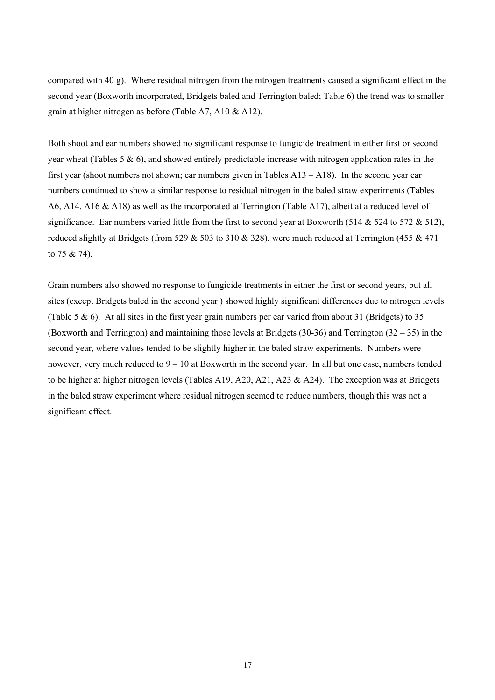compared with 40 g). Where residual nitrogen from the nitrogen treatments caused a significant effect in the second year (Boxworth incorporated, Bridgets baled and Terrington baled; Table 6) the trend was to smaller grain at higher nitrogen as before (Table A7, A10 & A12).

Both shoot and ear numbers showed no significant response to fungicide treatment in either first or second year wheat (Tables 5  $\&$  6), and showed entirely predictable increase with nitrogen application rates in the first year (shoot numbers not shown; ear numbers given in Tables A13 – A18). In the second year ear numbers continued to show a similar response to residual nitrogen in the baled straw experiments (Tables A6, A14, A16 & A18) as well as the incorporated at Terrington (Table A17), albeit at a reduced level of significance. Ear numbers varied little from the first to second year at Boxworth (514  $&$  524 to 572  $&$  512), reduced slightly at Bridgets (from 529  $&$  503 to 310  $&$  328), were much reduced at Terrington (455  $&$  471 to 75 & 74).

Grain numbers also showed no response to fungicide treatments in either the first or second years, but all sites (except Bridgets baled in the second year ) showed highly significant differences due to nitrogen levels (Table 5  $\&$  6). At all sites in the first year grain numbers per ear varied from about 31 (Bridgets) to 35 (Boxworth and Terrington) and maintaining those levels at Bridgets (30-36) and Terrington (32 – 35) in the second year, where values tended to be slightly higher in the baled straw experiments. Numbers were however, very much reduced to  $9 - 10$  at Boxworth in the second year. In all but one case, numbers tended to be higher at higher nitrogen levels (Tables A19, A20, A21, A23  $\&$  A24). The exception was at Bridgets in the baled straw experiment where residual nitrogen seemed to reduce numbers, though this was not a significant effect.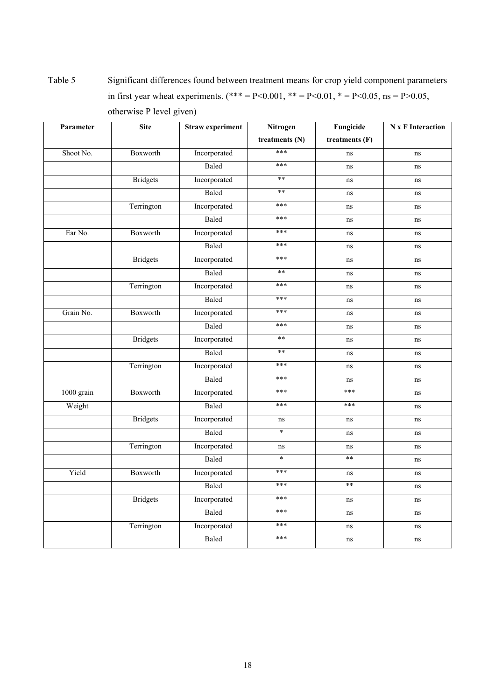Table 5 Significant differences found between treatment means for crop yield component parameters in first year wheat experiments. (\*\*\* = P<0.001, \*\* = P<0.01, \* = P<0.05, ns = P>0.05, otherwise P level given)

| Parameter  | <b>Site</b>     | <b>Straw experiment</b> | Nitrogen       | Fungicide      | <b>N</b> x F Interaction |
|------------|-----------------|-------------------------|----------------|----------------|--------------------------|
|            |                 |                         | treatments (N) | treatments (F) |                          |
| Shoot No.  | Boxworth        | Incorporated            | ***            | ns             | ns                       |
|            |                 | Baled                   | ***            | ns             | ns                       |
|            | <b>Bridgets</b> | Incorporated            | $**$           | ns             | ns                       |
|            |                 | Baled                   | $**$           | ns             | ns                       |
|            | Terrington      | Incorporated            | ***            | ns             | ns                       |
|            |                 | Baled                   | ***            | ns             | ns                       |
| Ear No.    | Boxworth        | Incorporated            | ***            | ns             | ns                       |
|            |                 | Baled                   | ***            | ns             | ns                       |
|            | <b>Bridgets</b> | Incorporated            | ***            | ns             | ns                       |
|            |                 | Baled                   | $**$           | ns             | ns                       |
|            | Terrington      | Incorporated            | ***            | ns             | ns                       |
|            |                 | Baled                   | ***            | ns             | ns                       |
| Grain No.  | Boxworth        | Incorporated            | ***            | ns             | ns                       |
|            |                 | Baled                   | ***            | ns             | ns                       |
|            | <b>Bridgets</b> | Incorporated            | $**$           | ns             | ns                       |
|            |                 | Baled                   | $***$          | ns             | ns                       |
|            | Terrington      | Incorporated            | ***            | ns             | ns                       |
|            |                 | Baled                   | ***            | ns             | ns                       |
| 1000 grain | Boxworth        | Incorporated            | ***            | ***            | ns                       |
| Weight     |                 | Baled                   | ***            | ***            | ns                       |
|            | <b>Bridgets</b> | Incorporated            | ns             | ns             | ns                       |
|            |                 | Baled                   | $\ast$         | ns             | ns                       |
|            | Terrington      | Incorporated            | ns             | ns             | ns                       |
|            |                 | Baled                   | $\ast$         | $**$           | ns                       |
| Yield      | Boxworth        | Incorporated            | ***            | ns             | ns                       |
|            |                 | Baled                   | ***            | $**$           | ns                       |
|            | <b>Bridgets</b> | Incorporated            | ***            | ns             | $\rm ns$                 |
|            |                 | Baled                   | ***            | ns             | ns                       |
|            | Terrington      | Incorporated            | ***            | ns             | ns                       |
|            |                 | Baled                   | ***            | ns             | ns                       |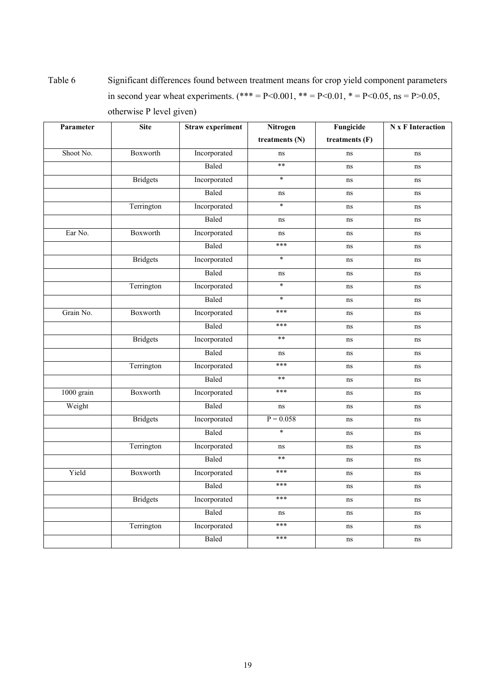Table 6 Significant differences found between treatment means for crop yield component parameters in second year wheat experiments. (\*\*\* = P<0.001, \*\* = P<0.01, \* = P<0.05, ns = P>0.05, otherwise P level given)

| Parameter  | <b>Site</b>     | <b>Straw experiment</b> | Nitrogen       | Fungicide      | <b>N</b> x F Interaction |
|------------|-----------------|-------------------------|----------------|----------------|--------------------------|
|            |                 |                         | treatments (N) | treatments (F) |                          |
| Shoot No.  | Boxworth        | Incorporated            | ns             | ns             | ns                       |
|            |                 | Baled                   | $**$           | ns             | ns                       |
|            | <b>Bridgets</b> | Incorporated            | $\ast$         | ns             | ns                       |
|            |                 | Baled                   | ns             | ns             | ns                       |
|            | Terrington      | Incorporated            | $\ast$         | ns             | ns                       |
|            |                 | Baled                   | ns             | ns             | ns                       |
| Ear No.    | Boxworth        | Incorporated            | ns             | ns             | ns                       |
|            |                 | Baled                   | ***            | ns             | ns                       |
|            | <b>Bridgets</b> | Incorporated            | $\ast$         | ns             | ns                       |
|            |                 | Baled                   | ns             | ns             | ns                       |
|            | Terrington      | Incorporated            | $\ast$         | ns             | ns                       |
|            |                 | Baled                   | $\ast$         | ns             | ns                       |
| Grain No.  | Boxworth        | Incorporated            | ***            | ns             | ns                       |
|            |                 | Baled                   | ***            | ns             | ns                       |
|            | <b>Bridgets</b> | Incorporated            | **             | ns             | ns                       |
|            |                 | Baled                   | ns             | ns             | ns                       |
|            | Terrington      | Incorporated            | ***            | ns             | ns                       |
|            |                 | Baled                   | $**$           | ns             | ns                       |
| 1000 grain | Boxworth        | Incorporated            | ***            | ns             | ns                       |
| Weight     |                 | Baled                   | ns             | ns             | ns                       |
|            | <b>Bridgets</b> | Incorporated            | $P = 0.058$    | ns             | ns                       |
|            |                 | Baled                   | $\ast$         | ns             | ns                       |
|            | Terrington      | Incorporated            | ns             | ns             | ns                       |
|            |                 | Baled                   | **             | ns             | ns                       |
| Yield      | Boxworth        | Incorporated            | ***            | ns             | ns                       |
|            |                 | Baled                   | ***            | ns             | ns                       |
|            | <b>Bridgets</b> | Incorporated            | ***            | ns             | ns                       |
|            |                 | Baled                   | ns             | ns             | $\rm ns$                 |
|            | Terrington      | Incorporated            | ***            | ns             | ns                       |
|            |                 | Baled                   | ***            | ns             | ns                       |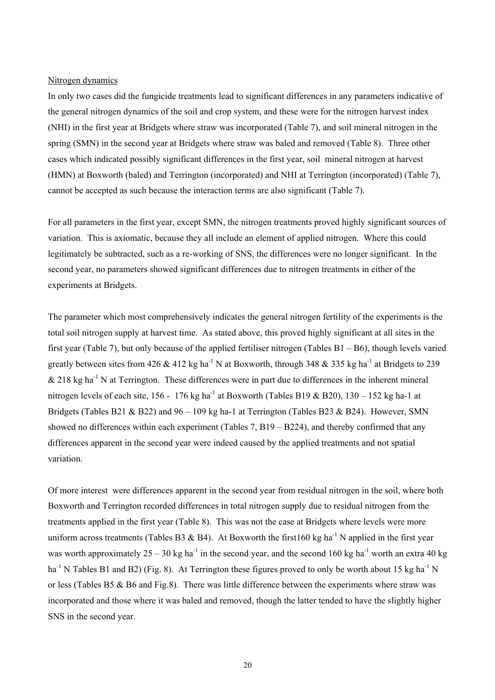#### Nitrogen dynamics

In only two cases did the fungicide treatments lead to significant differences in any parameters indicative of the general nitrogen dynamics of the soil and crop system, and these were for the nitrogen harvest index (NHI) in the first year at Bridgets where straw was incorporated (Table 7), and soil mineral nitrogen in the spring (SMN) in the second year at Bridgets where straw was baled and removed (Table 8). Three other cases which indicated possibly significant differences in the first year, soil mineral nitrogen at harvest (HMN) at Boxworth (baled) and Terrington (incorporated) and NHI at Terrington (incorporated) (Table 7), cannot be accepted as such because the interaction terms are also significant (Table 7).

For all parameters in the first year, except SMN, the nitrogen treatments proved highly significant sources of variation. This is axiomatic, because they all include an element of applied nitrogen. Where this could legitimately be subtracted, such as a re-working of SNS, the differences were no longer significant. In the second year, no parameters showed significant differences due to nitrogen treatments in either of the experiments at Bridgets.

The parameter which most comprehensively indicates the general nitrogen fertility of the experiments is the total soil nitrogen supply at harvest time. As stated above, this proved highly significant at all sites in the first year (Table 7), but only because of the applied fertiliser nitrogen (Tables B1 – B6), though levels varied greatly between sites from 426 & 412 kg ha<sup>-1</sup> N at Boxworth, through 348 & 335 kg ha<sup>-1</sup> at Bridgets to 239  $\&$  218 kg ha<sup>-1</sup> N at Terrington. These differences were in part due to differences in the inherent mineral nitrogen levels of each site, 156 - 176 kg ha<sup>-1</sup> at Boxworth (Tables B19 & B20), 130 – 152 kg ha-1 at Bridgets (Tables B21 & B22) and  $96 - 109$  kg ha-1 at Terrington (Tables B23 & B24). However, SMN showed no differences within each experiment (Tables 7, B19 – B224), and thereby confirmed that any differences apparent in the second year were indeed caused by the applied treatments and not spatial variation.

Of more interest were differences apparent in the second year from residual nitrogen in the soil, where both Boxworth and Terrington recorded differences in total nitrogen supply due to residual nitrogen from the treatments applied in the first year (Table 8). This was not the case at Bridgets where levels were more uniform across treatments (Tables B3 & B4). At Boxworth the first160 kg ha<sup>-1</sup> N applied in the first year was worth approximately  $25 - 30$  kg ha<sup>-1</sup> in the second year, and the second 160 kg ha<sup>-1</sup> worth an extra 40 kg  $ha^{-1}$  N Tables B1 and B2) (Fig. 8). At Terrington these figures proved to only be worth about 15 kg ha<sup>-1</sup> N or less (Tables B5 & B6 and Fig.8). There was little difference between the experiments where straw was incorporated and those where it was baled and removed, though the latter tended to have the slightly higher SNS in the second year.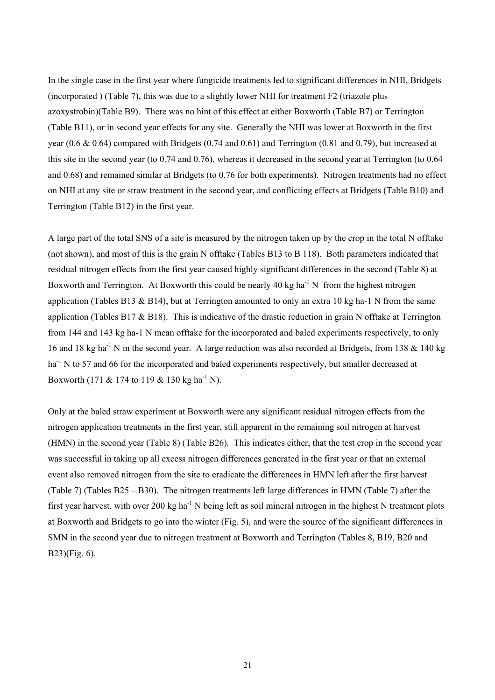In the single case in the first year where fungicide treatments led to significant differences in NHI, Bridgets (incorporated ) (Table 7), this was due to a slightly lower NHI for treatment F2 (triazole plus azoxystrobin)(Table B9). There was no hint of this effect at either Boxworth (Table B7) or Terrington (Table B11), or in second year effects for any site. Generally the NHI was lower at Boxworth in the first year (0.6 & 0.64) compared with Bridgets (0.74 and 0.61) and Terrington (0.81 and 0.79), but increased at this site in the second year (to 0.74 and 0.76), whereas it decreased in the second year at Terrington (to 0.64 and 0.68) and remained similar at Bridgets (to 0.76 for both experiments). Nitrogen treatments had no effect on NHI at any site or straw treatment in the second year, and conflicting effects at Bridgets (Table B10) and Terrington (Table B12) in the first year.

A large part of the total SNS of a site is measured by the nitrogen taken up by the crop in the total N offtake (not shown), and most of this is the grain N offtake (Tables B13 to B 118). Both parameters indicated that residual nitrogen effects from the first year caused highly significant differences in the second (Table 8) at Boxworth and Terrington. At Boxworth this could be nearly 40 kg ha<sup>-1</sup> N from the highest nitrogen application (Tables B13 & B14), but at Terrington amounted to only an extra 10 kg ha-1 N from the same application (Tables B17  $\&$  B18). This is indicative of the drastic reduction in grain N offtake at Terrington from 144 and 143 kg ha-1 N mean offtake for the incorporated and baled experiments respectively, to only 16 and 18 kg ha<sup>-1</sup> N in the second year. A large reduction was also recorded at Bridgets, from 138 & 140 kg ha<sup>-1</sup> N to 57 and 66 for the incorporated and baled experiments respectively, but smaller decreased at Boxworth (171 & 174 to 119 & 130 kg ha<sup>-1</sup> N).

Only at the baled straw experiment at Boxworth were any significant residual nitrogen effects from the nitrogen application treatments in the first year, still apparent in the remaining soil nitrogen at harvest (HMN) in the second year (Table 8) (Table B26). This indicates either, that the test crop in the second year was successful in taking up all excess nitrogen differences generated in the first year or that an external event also removed nitrogen from the site to eradicate the differences in HMN left after the first harvest (Table 7) (Tables B25 – B30). The nitrogen treatments left large differences in HMN (Table 7) after the first year harvest, with over 200 kg ha<sup>-1</sup> N being left as soil mineral nitrogen in the highest N treatment plots at Boxworth and Bridgets to go into the winter (Fig. 5), and were the source of the significant differences in SMN in the second year due to nitrogen treatment at Boxworth and Terrington (Tables 8, B19, B20 and B23)(Fig. 6).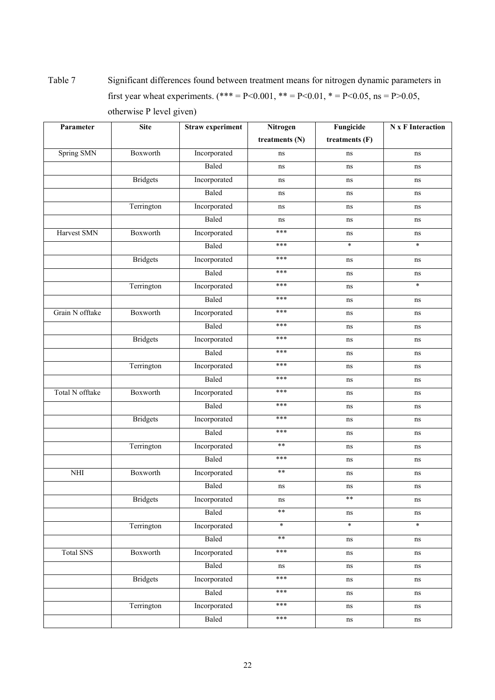Table 7 Significant differences found between treatment means for nitrogen dynamic parameters in first year wheat experiments. (\*\*\* = P<0.001, \*\* = P<0.01, \* = P<0.05, ns = P>0.05, otherwise P level given)

| Parameter        | <b>Site</b>     | <b>Straw experiment</b> | Nitrogen       | Fungicide      | <b>N</b> x F Interaction |
|------------------|-----------------|-------------------------|----------------|----------------|--------------------------|
|                  |                 |                         | treatments (N) | treatments (F) |                          |
| Spring SMN       | Boxworth        | Incorporated            | ns             | ns             | ns                       |
|                  |                 | Baled                   | ns             | ns             | ns                       |
|                  | <b>Bridgets</b> | Incorporated            | ns             | ns             | ns                       |
|                  |                 | Baled                   | ns             | ns             | ns                       |
|                  | Terrington      | Incorporated            | ns             | ns             | ns                       |
|                  |                 | Baled                   | ns             | ns             | ns                       |
| Harvest SMN      | Boxworth        | Incorporated            | ***            | ns             | ns                       |
|                  |                 | Baled                   | ***            | $\ast$         | $\ast$                   |
|                  | <b>Bridgets</b> | Incorporated            | ***            | ns             | ns                       |
|                  |                 | Baled                   | ***            | ns             | ns                       |
|                  | Terrington      | Incorporated            | ***            | ns             | $\ast$                   |
|                  |                 | Baled                   | ***            | ns             | ns                       |
| Grain N offtake  | Boxworth        | Incorporated            | ***            | ns             | ns                       |
|                  |                 | <b>Baled</b>            | ***            | ns             | ns                       |
|                  | <b>Bridgets</b> | Incorporated            | ***            | ns             | ns                       |
|                  |                 | Baled                   | ***            | ns             | ns                       |
|                  | Terrington      | Incorporated            | ***            | ns             | ns                       |
|                  |                 | Baled                   | ***            | ns             | ns                       |
| Total N offtake  | Boxworth        | Incorporated            | ***            | ns             | ns                       |
|                  |                 | Baled                   | ***            | ns             | ns                       |
|                  | <b>Bridgets</b> | Incorporated            | ***            | ns             | ns                       |
|                  |                 | Baled                   | ***            | ns             | ns                       |
|                  | Terrington      | Incorporated            | $\ast\ast$     | ns             | ns                       |
|                  |                 | Baled                   | ***            | ns             | ns                       |
| NHI              | Boxworth        | Incorporated            | $\ast\ast$     | ns             | ns                       |
|                  |                 | Baled                   | ns             | ns             | ns                       |
|                  | <b>Bridgets</b> | Incorporated            | ns             | $***$          | ns                       |
|                  |                 | Baled                   | $***$          | ns             | ns                       |
|                  | Terrington      | Incorporated            | $\ast$         | $\ast$         | $\star$                  |
|                  |                 | Baled                   | $**$           | ns             | ns                       |
| <b>Total SNS</b> | Boxworth        | Incorporated            | ***            | ns             | ns                       |
|                  |                 | Baled                   | ns             | ns             | ns                       |
|                  | <b>Bridgets</b> | Incorporated            | ***            | ns             | ns                       |
|                  |                 | Baled                   | ***            | ns             | ns                       |
|                  | Terrington      | Incorporated            | ***            | ns             | ns                       |
|                  |                 | Baled                   | ***            | $\rm ns$       | $\rm ns$                 |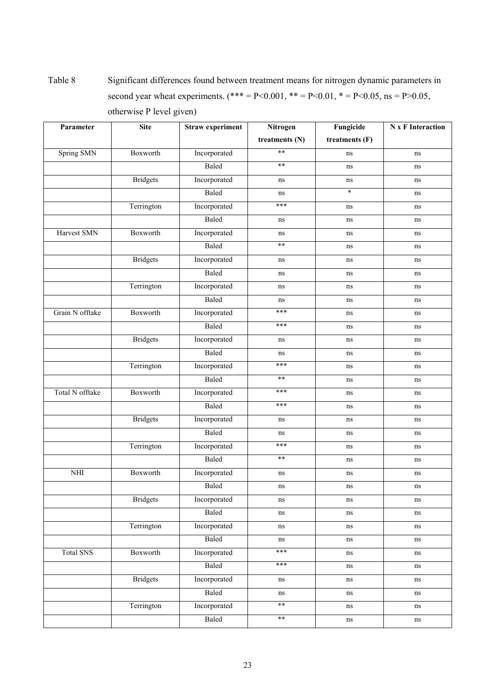Table 8 Significant differences found between treatment means for nitrogen dynamic parameters in second year wheat experiments. (\*\*\* = P<0.001, \*\* = P<0.01, \* = P<0.05, ns = P>0.05, otherwise P level given)

| Parameter        | <b>Site</b>     | <b>Straw experiment</b> | Nitrogen       | Fungicide      | <b>N</b> x F Interaction |
|------------------|-----------------|-------------------------|----------------|----------------|--------------------------|
|                  |                 |                         | treatments (N) | treatments (F) |                          |
| Spring SMN       | Boxworth        | Incorporated            | $**$           | ns             | ns                       |
|                  |                 | Baled                   | $**$           | ns             | ns                       |
|                  | <b>Bridgets</b> | Incorporated            | ns             | ns             | ns                       |
|                  |                 | Baled                   | ns             | $\ast$         | ns                       |
|                  | Terrington      | Incorporated            | ***            | ns             | ns                       |
|                  |                 | Baled                   | ns             | ns             | ns                       |
| Harvest SMN      | Boxworth        | Incorporated            | ns             | ns             | ns                       |
|                  |                 | Baled                   | $***$          | ns             | ns                       |
|                  | <b>Bridgets</b> | Incorporated            | ns             | ns             | ns                       |
|                  |                 | Baled                   | ns             | ns             | ns                       |
|                  | Terrington      | Incorporated            | ns             | ns             | ns                       |
|                  |                 | Baled                   | ns             | ns             | ns                       |
| Grain N offtake  | Boxworth        | Incorporated            | ***            | ns             | ns                       |
|                  |                 | Baled                   | ***            | ns             | ns                       |
|                  | <b>Bridgets</b> | Incorporated            | ns             | ns             | ns                       |
|                  |                 | Baled                   | ns             | ns             | ns                       |
|                  | Terrington      | Incorporated            | ***            | ns             | ns                       |
|                  |                 | Baled                   | $\ast\ast$     | ns             | ns                       |
| Total N offtake  | Boxworth        | Incorporated            | ***            | ns             | ns                       |
|                  |                 | Baled                   | ***            | ns             | ns                       |
|                  | <b>Bridgets</b> | Incorporated            | ns             | ns             | ns                       |
|                  |                 | Baled                   | ns             | ns             | ns                       |
|                  | Terrington      | Incorporated            | ***            | ns             | ns                       |
|                  |                 | Baled                   | $\ast\ast$     | ns             | ns                       |
| NHI              | Boxworth        | Incorporated            | ns             | ns             | ns                       |
|                  |                 | Baled                   | ns             | ns             | ns                       |
|                  | <b>Bridgets</b> | Incorporated            | ns             | ns             | ns                       |
|                  |                 | Baled                   | $\rm ns$       | ns             | ns                       |
|                  | Terrington      | Incorporated            | ns             | ns             | ns                       |
|                  |                 | Baled                   | $\rm ns$       | ns             | ns                       |
| <b>Total SNS</b> | Boxworth        | Incorporated            | ***            | ns             | ns                       |
|                  |                 | Baled                   | ***            | ns             | ns                       |
|                  | <b>Bridgets</b> | Incorporated            | ns             | ns             | ns                       |
|                  |                 | Baled                   | ns             | ns             | ns                       |
|                  | Terrington      | Incorporated            | $**$           | ns             | ns                       |
|                  |                 | Baled                   | $**$           | $\rm ns$       | $\rm ns$                 |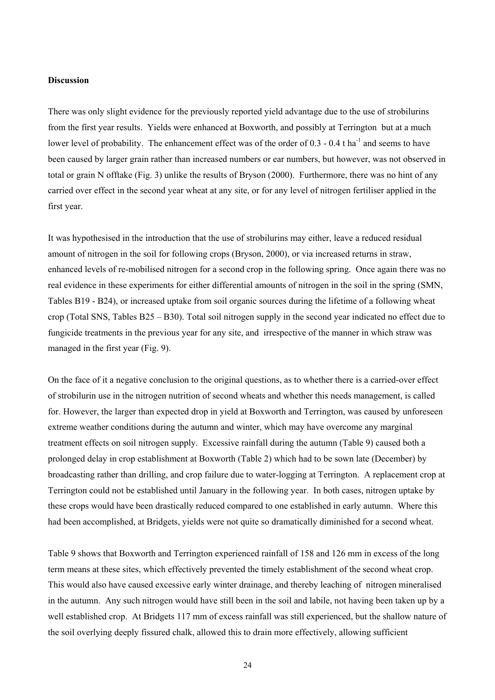#### **Discussion**

There was only slight evidence for the previously reported yield advantage due to the use of strobilurins from the first year results. Yields were enhanced at Boxworth, and possibly at Terrington but at a much lower level of probability. The enhancement effect was of the order of  $0.3$  -  $0.4$  t ha<sup>-1</sup> and seems to have been caused by larger grain rather than increased numbers or ear numbers, but however, was not observed in total or grain N offtake (Fig. 3) unlike the results of Bryson (2000). Furthermore, there was no hint of any carried over effect in the second year wheat at any site, or for any level of nitrogen fertiliser applied in the first year.

It was hypothesised in the introduction that the use of strobilurins may either, leave a reduced residual amount of nitrogen in the soil for following crops (Bryson, 2000), or via increased returns in straw, enhanced levels of re-mobilised nitrogen for a second crop in the following spring. Once again there was no real evidence in these experiments for either differential amounts of nitrogen in the soil in the spring (SMN, Tables B19 - B24), or increased uptake from soil organic sources during the lifetime of a following wheat crop (Total SNS, Tables B25 – B30). Total soil nitrogen supply in the second year indicated no effect due to fungicide treatments in the previous year for any site, and irrespective of the manner in which straw was managed in the first year (Fig. 9).

On the face of it a negative conclusion to the original questions, as to whether there is a carried-over effect of strobilurin use in the nitrogen nutrition of second wheats and whether this needs management, is called for. However, the larger than expected drop in yield at Boxworth and Terrington, was caused by unforeseen extreme weather conditions during the autumn and winter, which may have overcome any marginal treatment effects on soil nitrogen supply. Excessive rainfall during the autumn (Table 9) caused both a prolonged delay in crop establishment at Boxworth (Table 2) which had to be sown late (December) by broadcasting rather than drilling, and crop failure due to water-logging at Terrington. A replacement crop at Terrington could not be established until January in the following year. In both cases, nitrogen uptake by these crops would have been drastically reduced compared to one established in early autumn. Where this had been accomplished, at Bridgets, yields were not quite so dramatically diminished for a second wheat.

Table 9 shows that Boxworth and Terrington experienced rainfall of 158 and 126 mm in excess of the long term means at these sites, which effectively prevented the timely establishment of the second wheat crop. This would also have caused excessive early winter drainage, and thereby leaching of nitrogen mineralised in the autumn. Any such nitrogen would have still been in the soil and labile, not having been taken up by a well established crop. At Bridgets 117 mm of excess rainfall was still experienced, but the shallow nature of the soil overlying deeply fissured chalk, allowed this to drain more effectively, allowing sufficient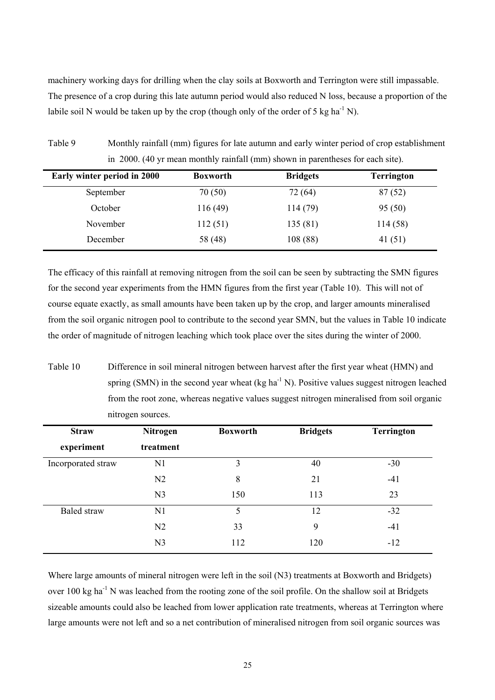machinery working days for drilling when the clay soils at Boxworth and Terrington were still impassable. The presence of a crop during this late autumn period would also reduced N loss, because a proportion of the labile soil N would be taken up by the crop (though only of the order of 5 kg ha<sup>-1</sup> N).

| Table 9 | Monthly rainfall (mm) figures for late autumn and early winter period of crop establishment |
|---------|---------------------------------------------------------------------------------------------|
|         | in 2000. (40 yr mean monthly rainfall (mm) shown in parentheses for each site).             |

| Early winter period in 2000 | <b>Boxworth</b> | <b>Bridgets</b> | <b>Terrington</b> |
|-----------------------------|-----------------|-----------------|-------------------|
| September                   | 70(50)          | 72 (64)         | 87(52)            |
| October                     | 116(49)         | 114 (79)        | 95(50)            |
| November                    | 112(51)         | 135 (81)        | 114(58)           |
| December                    | 58 (48)         | 108(88)         | 41(51)            |

The efficacy of this rainfall at removing nitrogen from the soil can be seen by subtracting the SMN figures for the second year experiments from the HMN figures from the first year (Table 10). This will not of course equate exactly, as small amounts have been taken up by the crop, and larger amounts mineralised from the soil organic nitrogen pool to contribute to the second year SMN, but the values in Table 10 indicate the order of magnitude of nitrogen leaching which took place over the sites during the winter of 2000.

Table 10 Difference in soil mineral nitrogen between harvest after the first year wheat (HMN) and spring (SMN) in the second year wheat (kg ha<sup>-1</sup> N). Positive values suggest nitrogen leached from the root zone, whereas negative values suggest nitrogen mineralised from soil organic nitrogen sources.

| <b>Straw</b>       | <b>Nitrogen</b> | <b>Boxworth</b> | <b>Bridgets</b> | <b>Terrington</b> |
|--------------------|-----------------|-----------------|-----------------|-------------------|
| experiment         | treatment       |                 |                 |                   |
| Incorporated straw | N1              | 3               | 40              | $-30$             |
|                    | N <sub>2</sub>  | 8               | 21              | $-41$             |
|                    | N <sub>3</sub>  | 150             | 113             | 23                |
| <b>Baled</b> straw | N1              | 5               | 12              | $-32$             |
|                    | N <sub>2</sub>  | 33              | 9               | $-41$             |
|                    | N <sub>3</sub>  | 112             | 120             | $-12$             |

Where large amounts of mineral nitrogen were left in the soil (N3) treatments at Boxworth and Bridgets) over 100 kg ha<sup>-1</sup> N was leached from the rooting zone of the soil profile. On the shallow soil at Bridgets sizeable amounts could also be leached from lower application rate treatments, whereas at Terrington where large amounts were not left and so a net contribution of mineralised nitrogen from soil organic sources was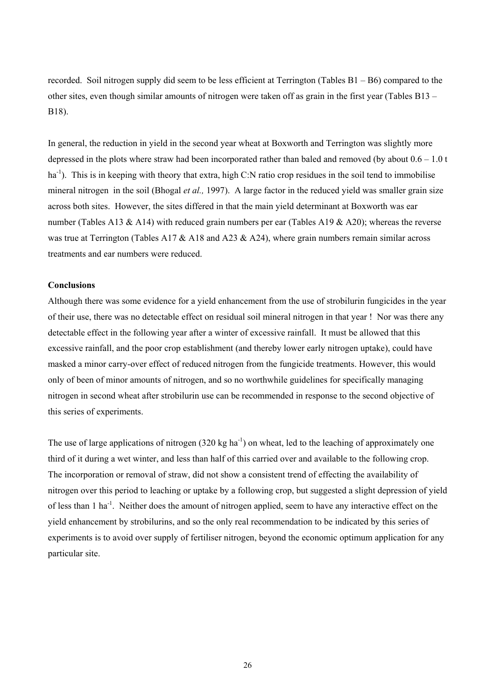recorded. Soil nitrogen supply did seem to be less efficient at Terrington (Tables B1 – B6) compared to the other sites, even though similar amounts of nitrogen were taken off as grain in the first year (Tables B13 – B18).

In general, the reduction in yield in the second year wheat at Boxworth and Terrington was slightly more depressed in the plots where straw had been incorporated rather than baled and removed (by about 0.6 – 1.0 t  $ha^{-1}$ ). This is in keeping with theory that extra, high C:N ratio crop residues in the soil tend to immobilise mineral nitrogen in the soil (Bhogal *et al.,* 1997). A large factor in the reduced yield was smaller grain size across both sites. However, the sites differed in that the main yield determinant at Boxworth was ear number (Tables A13 & A14) with reduced grain numbers per ear (Tables A19 & A20); whereas the reverse was true at Terrington (Tables A17  $&$  A18 and A23  $&$  A24), where grain numbers remain similar across treatments and ear numbers were reduced.

#### **Conclusions**

Although there was some evidence for a yield enhancement from the use of strobilurin fungicides in the year of their use, there was no detectable effect on residual soil mineral nitrogen in that year ! Nor was there any detectable effect in the following year after a winter of excessive rainfall. It must be allowed that this excessive rainfall, and the poor crop establishment (and thereby lower early nitrogen uptake), could have masked a minor carry-over effect of reduced nitrogen from the fungicide treatments. However, this would only of been of minor amounts of nitrogen, and so no worthwhile guidelines for specifically managing nitrogen in second wheat after strobilurin use can be recommended in response to the second objective of this series of experiments.

The use of large applications of nitrogen  $(320 \text{ kg ha}^{-1})$  on wheat, led to the leaching of approximately one third of it during a wet winter, and less than half of this carried over and available to the following crop. The incorporation or removal of straw, did not show a consistent trend of effecting the availability of nitrogen over this period to leaching or uptake by a following crop, but suggested a slight depression of yield of less than 1 ha<sup>-1</sup>. Neither does the amount of nitrogen applied, seem to have any interactive effect on the yield enhancement by strobilurins, and so the only real recommendation to be indicated by this series of experiments is to avoid over supply of fertiliser nitrogen, beyond the economic optimum application for any particular site.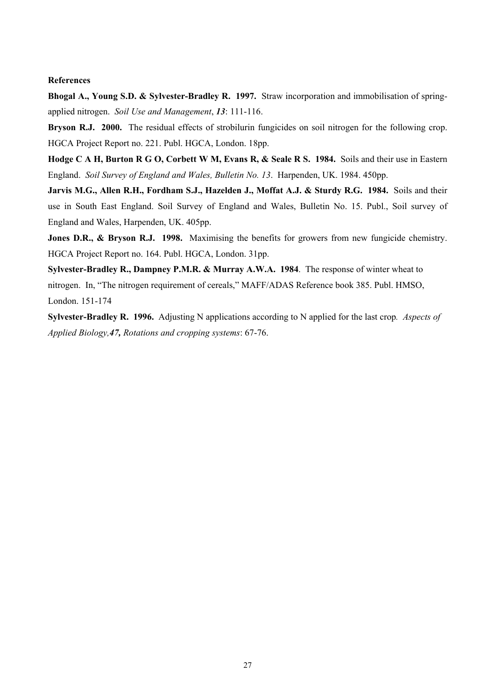### **References**

**Bhogal A., Young S.D. & Sylvester-Bradley R. 1997.** Straw incorporation and immobilisation of springapplied nitrogen. *Soil Use and Management*, *13*: 111-116.

**Bryson R.J. 2000.** The residual effects of strobilurin fungicides on soil nitrogen for the following crop. HGCA Project Report no. 221. Publ. HGCA, London. 18pp.

**Hodge C A H, Burton R G O, Corbett W M, Evans R, & Seale R S. 1984.** Soils and their use in Eastern England. *Soil Survey of England and Wales, Bulletin No. 13*. Harpenden, UK. 1984. 450pp.

**Jarvis M.G., Allen R.H., Fordham S.J., Hazelden J., Moffat A.J. & Sturdy R.G. 1984.** Soils and their use in South East England. Soil Survey of England and Wales, Bulletin No. 15. Publ., Soil survey of England and Wales, Harpenden, UK. 405pp.

**Jones D.R., & Bryson R.J. 1998.** Maximising the benefits for growers from new fungicide chemistry. HGCA Project Report no. 164. Publ. HGCA, London. 31pp.

**Sylvester-Bradley R., Dampney P.M.R. & Murray A.W.A. 1984**. The response of winter wheat to nitrogen. In, "The nitrogen requirement of cereals," MAFF/ADAS Reference book 385. Publ. HMSO, London. 151-174

**Sylvester-Bradley R. 1996.** Adjusting N applications according to N applied for the last crop*. Aspects of Applied Biology,47, Rotations and cropping systems*: 67-76.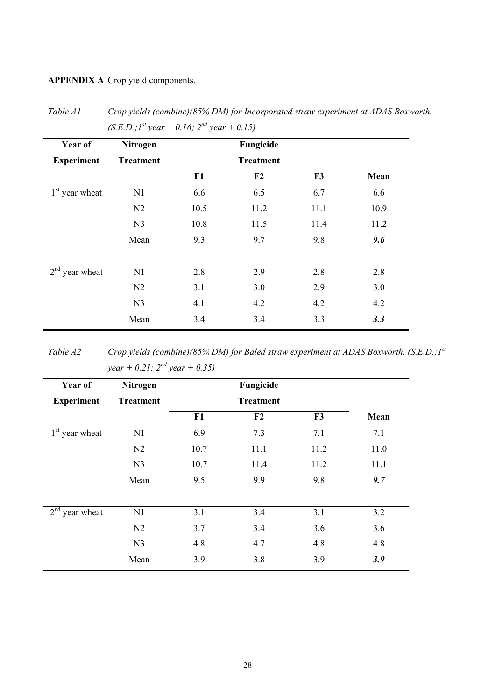**APPENDIX A** Crop yield components.

| Year of           | Nitrogen         | Fungicide |                  |      |      |
|-------------------|------------------|-----------|------------------|------|------|
| <b>Experiment</b> | <b>Treatment</b> |           | <b>Treatment</b> |      |      |
|                   |                  | F1        | F2               | F3   | Mean |
| $1st$ year wheat  | N1               | 6.6       | 6.5              | 6.7  | 6.6  |
|                   | N2               | 10.5      | 11.2             | 11.1 | 10.9 |
|                   | N <sub>3</sub>   | 10.8      | 11.5             | 11.4 | 11.2 |
|                   | Mean             | 9.3       | 9.7              | 9.8  | 9.6  |
| $2nd$ year wheat  | N1               | 2.8       | 2.9              | 2.8  | 2.8  |
|                   | N2               | 3.1       | 3.0              | 2.9  | 3.0  |
|                   | N <sub>3</sub>   | 4.1       | 4.2              | 4.2  | 4.2  |
|                   | Mean             | 3.4       | 3.4              | 3.3  | 3.3  |

*Table A1 Crop yields (combine)(85% DM) for Incorporated straw experiment at ADAS Boxworth.*   $(S. E. D. \cdot I^{st}$  year + 0.16; 2<sup>nd</sup> year + 0.15)

*Table A2 Crop yields (combine)(85% DM) for Baled straw experiment at ADAS Boxworth. (S.E.D.;1st year*  $\pm$  0.21;  $2^{nd}$  year  $\pm$  0.35)

| Year of           | Nitrogen         | Fungicide |                  |      |      |
|-------------------|------------------|-----------|------------------|------|------|
| <b>Experiment</b> | <b>Treatment</b> |           | <b>Treatment</b> |      |      |
|                   |                  | F1        | F2               | F3   | Mean |
| $1st$ year wheat  | N1               | 6.9       | 7.3              | 7.1  | 7.1  |
|                   | N <sub>2</sub>   | 10.7      | 11.1             | 11.2 | 11.0 |
|                   | N <sub>3</sub>   | 10.7      | 11.4             | 11.2 | 11.1 |
|                   | Mean             | 9.5       | 9.9              | 9.8  | 9.7  |
| $2nd$ year wheat  | N1               | 3.1       | 3.4              | 3.1  | 3.2  |
|                   | N <sub>2</sub>   | 3.7       | 3.4              | 3.6  | 3.6  |
|                   | N <sub>3</sub>   | 4.8       | 4.7              | 4.8  | 4.8  |
|                   | Mean             | 3.9       | 3.8              | 3.9  | 3.9  |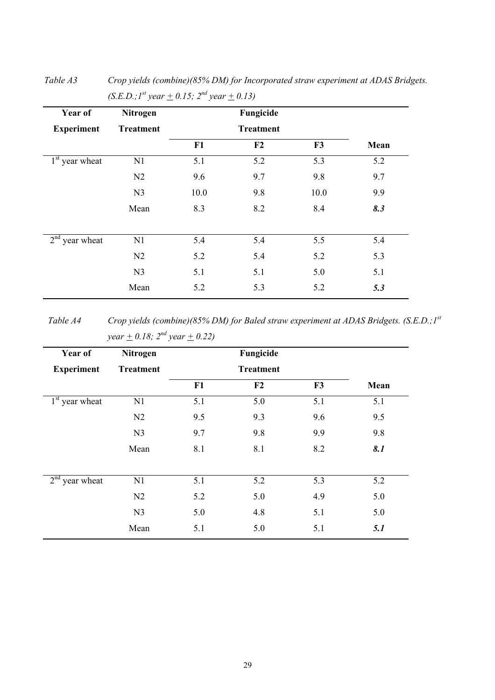| Year of           | Nitrogen         |                  | Fungicide      |      |      |
|-------------------|------------------|------------------|----------------|------|------|
| <b>Experiment</b> | <b>Treatment</b> | <b>Treatment</b> |                |      |      |
|                   |                  | F1               | F <sub>2</sub> | F3   | Mean |
| $1st$ year wheat  | N1               | 5.1              | 5.2            | 5.3  | 5.2  |
|                   | N <sub>2</sub>   | 9.6              | 9.7            | 9.8  | 9.7  |
|                   | N <sub>3</sub>   | 10.0             | 9.8            | 10.0 | 9.9  |
|                   | Mean             | 8.3              | 8.2            | 8.4  | 8.3  |
| $2nd$ year wheat  | N1               | 5.4              | 5.4            | 5.5  | 5.4  |
|                   | N <sub>2</sub>   | 5.2              | 5.4            | 5.2  | 5.3  |
|                   | N <sub>3</sub>   | 5.1              | 5.1            | 5.0  | 5.1  |
|                   | Mean             | 5.2              | 5.3            | 5.2  | 5.3  |

*Table A3 Crop yields (combine)(85% DM) for Incorporated straw experiment at ADAS Bridgets.*   $(S.E.D.; I<sup>st</sup> year + 0.15; 2<sup>nd</sup> year + 0.13)$ 

*Table A4 Crop yields (combine)(85% DM) for Baled straw experiment at ADAS Bridgets. (S.E.D.;1st year*  $\pm$  0.18;  $2^{nd}$  year  $\pm$  0.22)

| Year of           | Nitrogen         |     | Fungicide        |     |      |
|-------------------|------------------|-----|------------------|-----|------|
| <b>Experiment</b> | <b>Treatment</b> |     | <b>Treatment</b> |     |      |
|                   |                  | F1  | F2               | F3  | Mean |
| $1st$ year wheat  | N1               | 5.1 | 5.0              | 5.1 | 5.1  |
|                   | N <sub>2</sub>   | 9.5 | 9.3              | 9.6 | 9.5  |
|                   | N <sub>3</sub>   | 9.7 | 9.8              | 9.9 | 9.8  |
|                   | Mean             | 8.1 | 8.1              | 8.2 | 8.1  |
|                   |                  |     |                  |     |      |
| $2nd$ year wheat  | N1               | 5.1 | 5.2              | 5.3 | 5.2  |
|                   | N <sub>2</sub>   | 5.2 | 5.0              | 4.9 | 5.0  |
|                   | N <sub>3</sub>   | 5.0 | 4.8              | 5.1 | 5.0  |
|                   | Mean             | 5.1 | 5.0              | 5.1 | 5.1  |

29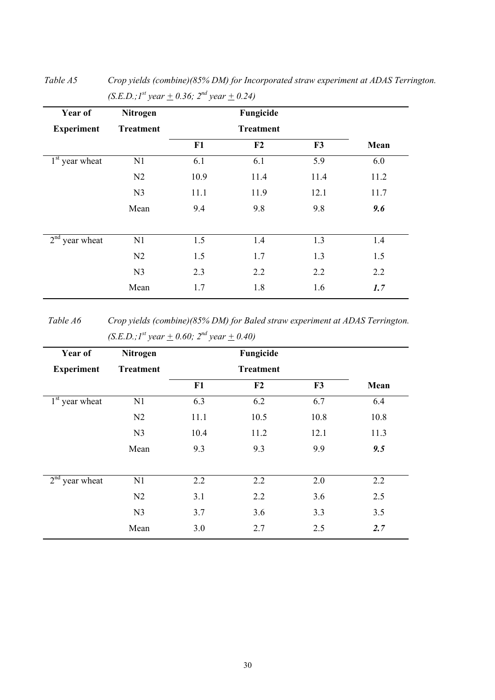| Year of                       | <b>Nitrogen</b>  |                  | Fungicide      |      |      |
|-------------------------------|------------------|------------------|----------------|------|------|
| <b>Experiment</b>             | <b>Treatment</b> | <b>Treatment</b> |                |      |      |
|                               |                  | F1               | F <sub>2</sub> | F3   | Mean |
| $1st$ year wheat              | N1               | 6.1              | 6.1            | 5.9  | 6.0  |
|                               | N <sub>2</sub>   | 10.9             | 11.4           | 11.4 | 11.2 |
|                               | N <sub>3</sub>   | 11.1             | 11.9           | 12.1 | 11.7 |
|                               | Mean             | 9.4              | 9.8            | 9.8  | 9.6  |
| 2 <sup>nd</sup><br>year wheat | N1               | 1.5              | 1.4            | 1.3  | 1.4  |
|                               | N <sub>2</sub>   | 1.5              | 1.7            | 1.3  | 1.5  |
|                               | N <sub>3</sub>   | 2.3              | 2.2            | 2.2  | 2.2  |
|                               | Mean             | 1.7              | 1.8            | 1.6  | 1.7  |

*Table A5 Crop yields (combine)(85% DM) for Incorporated straw experiment at ADAS Terrington.*   $(S.E.D.; I<sup>st</sup> year + 0.36; 2<sup>nd</sup> year + 0.24)$ 

*Table A6 Crop yields (combine)(85% DM) for Baled straw experiment at ADAS Terrington.*   $(S.E.D.; I<sup>st</sup> year + 0.60; 2<sup>nd</sup> year + 0.40)$ 

| Nitrogen         | Fungicide |                  |      |      |
|------------------|-----------|------------------|------|------|
| <b>Treatment</b> |           | <b>Treatment</b> |      |      |
|                  | F1        | F2               | F3   | Mean |
| N1               | 6.3       | 6.2              | 6.7  | 6.4  |
| N2               | 11.1      | 10.5             | 10.8 | 10.8 |
| N <sub>3</sub>   | 10.4      | 11.2             | 12.1 | 11.3 |
| Mean             | 9.3       | 9.3              | 9.9  | 9.5  |
| N1               | 2.2       | 2.2              | 2.0  | 2.2  |
| N2               | 3.1       | 2.2              | 3.6  | 2.5  |
| N <sub>3</sub>   | 3.7       | 3.6              | 3.3  | 3.5  |
| Mean             | 3.0       | 2.7              | 2.5  | 2.7  |
|                  |           |                  |      |      |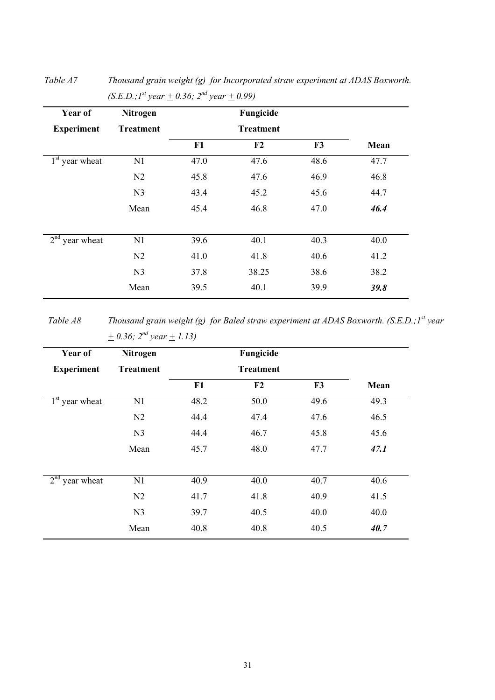| <b>Treatment</b> | F1   | <b>Treatment</b> |      |      |
|------------------|------|------------------|------|------|
|                  |      |                  |      |      |
|                  |      | F2               | F3   | Mean |
| N1               | 47.0 | 47.6             | 48.6 | 47.7 |
| N <sub>2</sub>   | 45.8 | 47.6             | 46.9 | 46.8 |
| N <sub>3</sub>   | 43.4 | 45.2             | 45.6 | 44.7 |
| Mean             | 45.4 | 46.8             | 47.0 | 46.4 |
| N1               | 39.6 | 40.1             | 40.3 | 40.0 |
| N <sub>2</sub>   | 41.0 | 41.8             | 40.6 | 41.2 |
| N <sub>3</sub>   | 37.8 | 38.25            | 38.6 | 38.2 |
| Mean             | 39.5 | 40.1             | 39.9 | 39.8 |
|                  |      |                  |      |      |

*Table A7 Thousand grain weight (g) for Incorporated straw experiment at ADAS Boxworth.*   $(S.E.D.; I<sup>st</sup> year + 0.36; 2<sup>nd</sup> year + 0.99)$ 

*Table A8* Thousand grain weight (g) for Baled straw experiment at ADAS Boxworth. (S.E.D.; 1<sup>st</sup> year  $+ 0.36$ ;  $2^{nd}$  year  $+ 1.13$ )

| Year of           | <b>Nitrogen</b>  | Fungicide<br><b>Treatment</b> |                |      |      |
|-------------------|------------------|-------------------------------|----------------|------|------|
| <b>Experiment</b> | <b>Treatment</b> |                               |                |      |      |
|                   |                  | F1                            | F <sub>2</sub> | F3   | Mean |
| $1st$ year wheat  | N1               | 48.2                          | 50.0           | 49.6 | 49.3 |
|                   | N <sub>2</sub>   | 44.4                          | 47.4           | 47.6 | 46.5 |
|                   | N <sub>3</sub>   | 44.4                          | 46.7           | 45.8 | 45.6 |
|                   | Mean             | 45.7                          | 48.0           | 47.7 | 47.1 |
| $2nd$ year wheat  | N <sub>1</sub>   | 40.9                          | 40.0           | 40.7 | 40.6 |
|                   | N <sub>2</sub>   | 41.7                          | 41.8           | 40.9 | 41.5 |
|                   | N <sub>3</sub>   | 39.7                          | 40.5           | 40.0 | 40.0 |
|                   | Mean             | 40.8                          | 40.8           | 40.5 | 40.7 |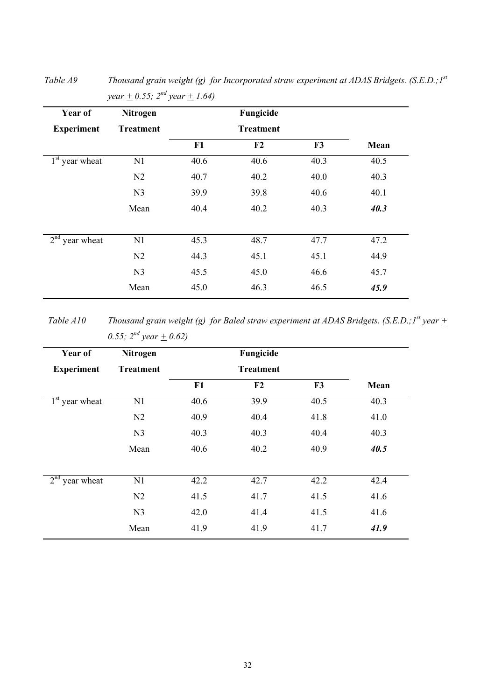| Year of                       | Nitrogen         | Fungicide |                  |      |      |
|-------------------------------|------------------|-----------|------------------|------|------|
| <b>Experiment</b>             | <b>Treatment</b> |           | <b>Treatment</b> |      |      |
|                               |                  | F1        | F <sub>2</sub>   | F3   | Mean |
| $1st$ year wheat              | N1               | 40.6      | 40.6             | 40.3 | 40.5 |
|                               | N <sub>2</sub>   | 40.7      | 40.2             | 40.0 | 40.3 |
|                               | N <sub>3</sub>   | 39.9      | 39.8             | 40.6 | 40.1 |
|                               | Mean             | 40.4      | 40.2             | 40.3 | 40.3 |
| 2 <sup>nd</sup><br>year wheat | N1               | 45.3      | 48.7             | 47.7 | 47.2 |
|                               | N <sub>2</sub>   | 44.3      | 45.1             | 45.1 | 44.9 |
|                               | N <sub>3</sub>   | 45.5      | 45.0             | 46.6 | 45.7 |
|                               | Mean             | 45.0      | 46.3             | 46.5 | 45.9 |

*Table A9 Thousand grain weight (g) for Incorporated straw experiment at ADAS Bridgets. (S.E.D.;1st year*  $\pm$  0.55;  $2^{nd}$  year  $\pm$  1.64)

*Table A10* Thousand grain weight (g) for Baled straw experiment at ADAS Bridgets. (S.E.D.; I<sup>st</sup> year  $\pm$ *0.55;*  $2^{nd}$  year  $\pm$  0.62)

| Year of           | <b>Nitrogen</b>  |                  | Fungicide |      |      |
|-------------------|------------------|------------------|-----------|------|------|
| <b>Experiment</b> | <b>Treatment</b> | <b>Treatment</b> |           |      |      |
|                   |                  | F1               | F2        | F3   | Mean |
| $1st$ year wheat  | N1               | 40.6             | 39.9      | 40.5 | 40.3 |
|                   | N <sub>2</sub>   | 40.9             | 40.4      | 41.8 | 41.0 |
|                   | N <sub>3</sub>   | 40.3             | 40.3      | 40.4 | 40.3 |
|                   | Mean             | 40.6             | 40.2      | 40.9 | 40.5 |
| $2nd$ year wheat  | N1               | 42.2             | 42.7      | 42.2 | 42.4 |
|                   | N <sub>2</sub>   | 41.5             | 41.7      | 41.5 | 41.6 |
|                   | N <sub>3</sub>   | 42.0             | 41.4      | 41.5 | 41.6 |
|                   | Mean             | 41.9             | 41.9      | 41.7 | 41.9 |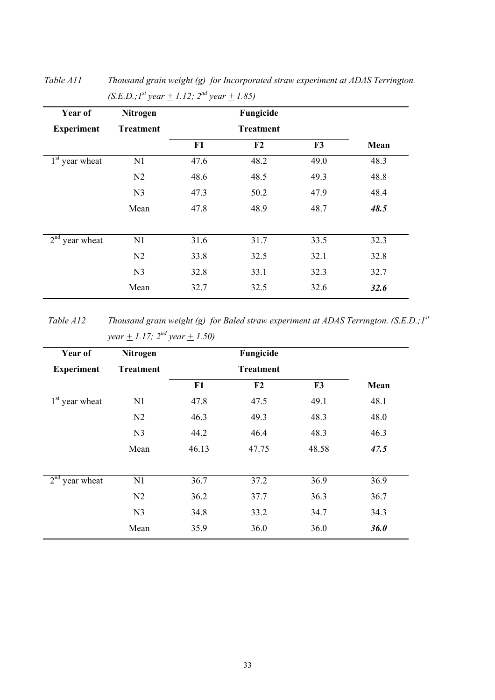| Year of           | Nitrogen         | Fungicide<br><b>Treatment</b> |      |      |      |
|-------------------|------------------|-------------------------------|------|------|------|
| <b>Experiment</b> | <b>Treatment</b> |                               |      |      |      |
|                   |                  | F1                            | F2   | F3   | Mean |
| $1st$ year wheat  | N1               | 47.6                          | 48.2 | 49.0 | 48.3 |
|                   | N <sub>2</sub>   | 48.6                          | 48.5 | 49.3 | 48.8 |
|                   | N <sub>3</sub>   | 47.3                          | 50.2 | 47.9 | 48.4 |
|                   | Mean             | 47.8                          | 48.9 | 48.7 | 48.5 |
| $2nd$ year wheat  | N1               | 31.6                          | 31.7 | 33.5 | 32.3 |
|                   | N <sub>2</sub>   | 33.8                          | 32.5 | 32.1 | 32.8 |
|                   | N <sub>3</sub>   | 32.8                          | 33.1 | 32.3 | 32.7 |
|                   | Mean             | 32.7                          | 32.5 | 32.6 | 32.6 |

*Table A11 Thousand grain weight (g) for Incorporated straw experiment at ADAS Terrington.*   $(S.E.D.; I<sup>st</sup> year + 1.12; 2<sup>nd</sup> year + 1.85)$ 

*Table A12 Thousand grain weight (g) for Baled straw experiment at ADAS Terrington. (S.E.D.;1st year*  $\pm$  1.17;  $2^{nd}$  year  $\pm$  1.50)

| Year of           | Nitrogen         | Fungicide<br><b>Treatment</b> |       |       |      |
|-------------------|------------------|-------------------------------|-------|-------|------|
| <b>Experiment</b> | <b>Treatment</b> |                               |       |       |      |
|                   |                  | F1                            | F2    | F3    | Mean |
| $1st$ year wheat  | N1               | 47.8                          | 47.5  | 49.1  | 48.1 |
|                   | N <sub>2</sub>   | 46.3                          | 49.3  | 48.3  | 48.0 |
|                   | N <sub>3</sub>   | 44.2                          | 46.4  | 48.3  | 46.3 |
|                   | Mean             | 46.13                         | 47.75 | 48.58 | 47.5 |
| $2nd$ year wheat  | N1               | 36.7                          | 37.2  | 36.9  | 36.9 |
|                   | N2               | 36.2                          | 37.7  | 36.3  | 36.7 |
|                   | N <sub>3</sub>   | 34.8                          | 33.2  | 34.7  | 34.3 |
|                   | Mean             | 35.9                          | 36.0  | 36.0  | 36.0 |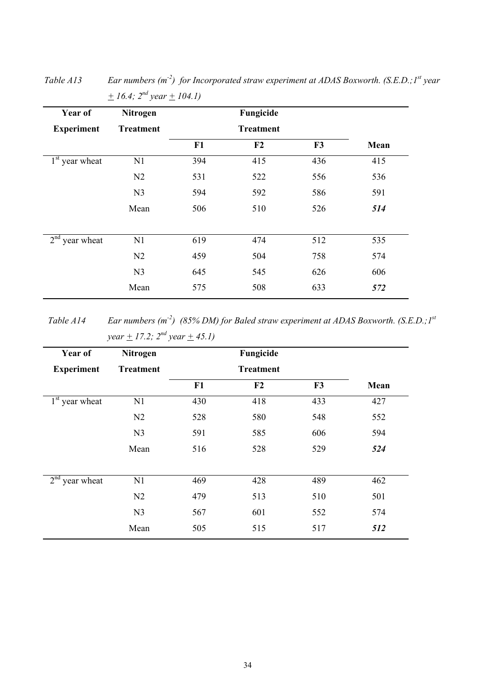| Year of           | Nitrogen         |     | Fungicide        |     |      |
|-------------------|------------------|-----|------------------|-----|------|
| <b>Experiment</b> | <b>Treatment</b> |     | <b>Treatment</b> |     |      |
|                   |                  | F1  | F2               | F3  | Mean |
| $1st$ year wheat  | N1               | 394 | 415              | 436 | 415  |
|                   | N <sub>2</sub>   | 531 | 522              | 556 | 536  |
|                   | N <sub>3</sub>   | 594 | 592              | 586 | 591  |
|                   | Mean             | 506 | 510              | 526 | 514  |
|                   |                  |     |                  |     |      |
| $2nd$ year wheat  | N1               | 619 | 474              | 512 | 535  |
|                   | N2               | 459 | 504              | 758 | 574  |
|                   | N <sub>3</sub>   | 645 | 545              | 626 | 606  |
|                   | Mean             | 575 | 508              | 633 | 572  |

*Table A13* Ear numbers (m<sup>-2</sup>) for Incorporated straw experiment at ADAS Boxworth. (S.E.D.; I<sup>st</sup> year  $+ 16.4$ ;  $2^{nd}$  year  $+ 104.1$ )

*Table A14 Ear numbers (m-2) (85% DM) for Baled straw experiment at ADAS Boxworth. (S.E.D.;1st year*  $\pm$  17.2;  $2^{nd}$  year  $\pm$  45.1)

| <b>Treatment</b> |     |                  |     |      |
|------------------|-----|------------------|-----|------|
|                  |     | <b>Treatment</b> |     |      |
|                  | F1  | F2               | F3  | Mean |
| N1               | 430 | 418              | 433 | 427  |
| N2               | 528 | 580              | 548 | 552  |
| N <sub>3</sub>   | 591 | 585              | 606 | 594  |
| Mean             | 516 | 528              | 529 | 524  |
| N1               | 469 | 428              | 489 | 462  |
| N2               | 479 | 513              | 510 | 501  |
| N <sub>3</sub>   | 567 | 601              | 552 | 574  |
| Mean             | 505 | 515              | 517 | 512  |
|                  |     |                  |     |      |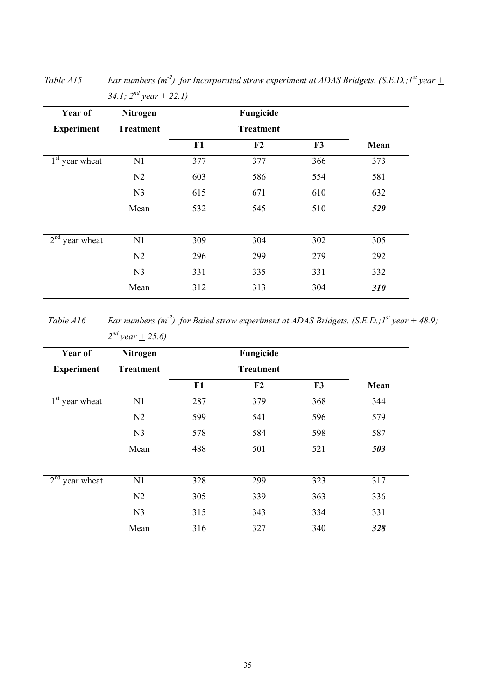| Year of                       | Nitrogen         |     |                  |     |            |
|-------------------------------|------------------|-----|------------------|-----|------------|
| <b>Experiment</b>             | <b>Treatment</b> |     | <b>Treatment</b> |     |            |
|                               |                  | F1  | F2               | F3  | Mean       |
| $1st$ year wheat              | N1               | 377 | 377              | 366 | 373        |
|                               | N <sub>2</sub>   | 603 | 586              | 554 | 581        |
|                               | N <sub>3</sub>   | 615 | 671              | 610 | 632        |
|                               | Mean             | 532 | 545              | 510 | 529        |
| 2 <sup>nd</sup><br>year wheat | N1               | 309 | 304              | 302 | 305        |
|                               | N <sub>2</sub>   | 296 | 299              | 279 | 292        |
|                               | N <sub>3</sub>   | 331 | 335              | 331 | 332        |
|                               | Mean             | 312 | 313              | 304 | <b>310</b> |

*Table A15 Ear numbers (m<sup>-2</sup>) for Incorporated straw experiment at ADAS Bridgets. (S.E.D.;1<sup>st</sup> year*  $\pm$ *34.1;*  $2^{nd}$  year  $\pm$  22.1)

*Table A16 Ear numbers (m<sup>-2</sup>) for Baled straw experiment at ADAS Bridgets. (S.E.D.; 1<sup>st</sup> year*  $\pm$  *48.9;*  $2^{nd}$  year  $\pm$  25.6)

| Nitrogen         | Fungicide |                  |                |      |
|------------------|-----------|------------------|----------------|------|
| <b>Treatment</b> |           | <b>Treatment</b> |                |      |
|                  | F1        | F2               | F <sub>3</sub> | Mean |
| N1               | 287       | 379              | 368            | 344  |
| N <sub>2</sub>   | 599       | 541              | 596            | 579  |
| N <sub>3</sub>   | 578       | 584              | 598            | 587  |
| Mean             | 488       | 501              | 521            | 503  |
| N1               | 328       | 299              | 323            | 317  |
| N <sub>2</sub>   | 305       | 339              | 363            | 336  |
| N <sub>3</sub>   | 315       | 343              | 334            | 331  |
| Mean             | 316       | 327              | 340            | 328  |
|                  |           |                  |                |      |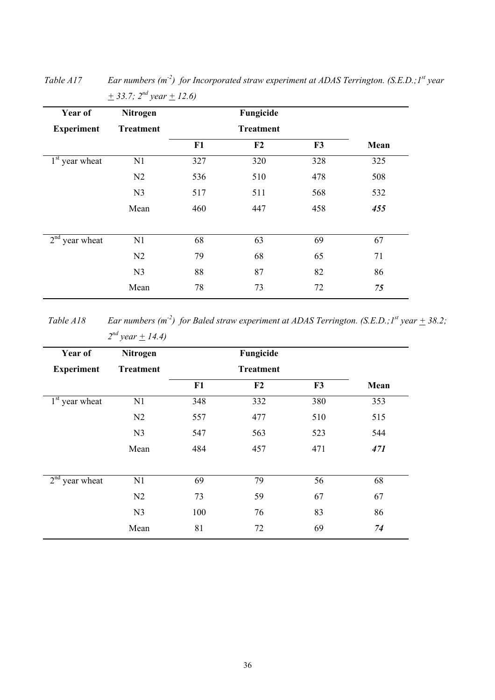| Year of                       | Nitrogen         |     | Fungicide        |     |      |
|-------------------------------|------------------|-----|------------------|-----|------|
| <b>Experiment</b>             | <b>Treatment</b> |     | <b>Treatment</b> |     |      |
|                               |                  | F1  | F2               | F3  | Mean |
| $1st$ year wheat              | N1               | 327 | 320              | 328 | 325  |
|                               | N <sub>2</sub>   | 536 | 510              | 478 | 508  |
|                               | N <sub>3</sub>   | 517 | 511              | 568 | 532  |
|                               | Mean             | 460 | 447              | 458 | 455  |
| 2 <sup>nd</sup><br>year wheat | N1               | 68  | 63               | 69  | 67   |
|                               | N <sub>2</sub>   | 79  | 68               | 65  | 71   |
|                               | N <sub>3</sub>   | 88  | 87               | 82  | 86   |
|                               | Mean             | 78  | 73               | 72  | 75   |

*Table A17* Ear numbers (m<sup>-2</sup>) for Incorporated straw experiment at ADAS Terrington. (S.E.D.; 1<sup>st</sup> year  $+$  33.7;  $2^{nd}$  year  $+$  12.6)

*Table A18 Ear numbers (m<sup>-2</sup>) for Baled straw experiment at ADAS Terrington. (S.E.D.;*  $I^{st}$  *year*  $\pm$  *38.2;*  $2^{nd}$  year  $\pm$  14.4)

| Year of           | Nitrogen         | Fungicide |                  |     |      |
|-------------------|------------------|-----------|------------------|-----|------|
| <b>Experiment</b> | <b>Treatment</b> |           | <b>Treatment</b> |     |      |
|                   |                  | F1        | F2               | F3  | Mean |
| $1st$ year wheat  | N1               | 348       | 332              | 380 | 353  |
|                   | N <sub>2</sub>   | 557       | 477              | 510 | 515  |
|                   | N <sub>3</sub>   | 547       | 563              | 523 | 544  |
|                   | Mean             | 484       | 457              | 471 | 471  |
|                   |                  |           |                  |     |      |
| $2nd$ year wheat  | N1               | 69        | 79               | 56  | 68   |
|                   | N2               | 73        | 59               | 67  | 67   |
|                   | N <sub>3</sub>   | 100       | 76               | 83  | 86   |
|                   | Mean             | 81        | 72               | 69  | 74   |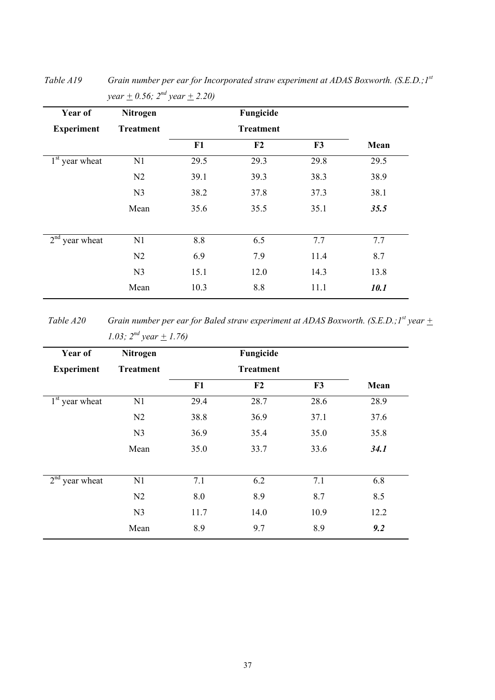| Year of                       | Nitrogen         | Fungicide |                  |      |      |
|-------------------------------|------------------|-----------|------------------|------|------|
| <b>Experiment</b>             | <b>Treatment</b> |           | <b>Treatment</b> |      |      |
|                               |                  | F1        | F <sub>2</sub>   | F3   | Mean |
| $1st$ year wheat              | N1               | 29.5      | 29.3             | 29.8 | 29.5 |
|                               | N <sub>2</sub>   | 39.1      | 39.3             | 38.3 | 38.9 |
|                               | N <sub>3</sub>   | 38.2      | 37.8             | 37.3 | 38.1 |
|                               | Mean             | 35.6      | 35.5             | 35.1 | 35.5 |
| 2 <sup>nd</sup><br>year wheat | N1               | 8.8       | 6.5              | 7.7  | 7.7  |
|                               | N <sub>2</sub>   | 6.9       | 7.9              | 11.4 | 8.7  |
|                               | N <sub>3</sub>   | 15.1      | 12.0             | 14.3 | 13.8 |
|                               | Mean             | 10.3      | 8.8              | 11.1 | 10.1 |

*Table A19 Grain number per ear for Incorporated straw experiment at ADAS Boxworth. (S.E.D.;1st year*  $\pm$  0.56;  $2^{nd}$  year  $\pm$  2.20)

*Table A20 Grain number per ear for Baled straw experiment at ADAS Boxworth. (S.E.D.;1<sup>st</sup> year*  $\pm$ *1.03;*  $2^{nd}$  year  $\pm$  1.76)

| Year of           | Nitrogen         |      | Fungicide |      |      |
|-------------------|------------------|------|-----------|------|------|
| <b>Experiment</b> | <b>Treatment</b> |      |           |      |      |
|                   |                  | F1   | F2        | F3   | Mean |
| $1st$ year wheat  | N1               | 29.4 | 28.7      | 28.6 | 28.9 |
|                   | N <sub>2</sub>   | 38.8 | 36.9      | 37.1 | 37.6 |
|                   | N <sub>3</sub>   | 36.9 | 35.4      | 35.0 | 35.8 |
|                   | Mean             | 35.0 | 33.7      | 33.6 | 34.1 |
| $2nd$ year wheat  | N1               | 7.1  | 6.2       | 7.1  | 6.8  |
|                   | N <sub>2</sub>   | 8.0  | 8.9       | 8.7  | 8.5  |
|                   | N <sub>3</sub>   | 11.7 | 14.0      | 10.9 | 12.2 |
|                   | Mean             | 8.9  | 9.7       | 8.9  | 9.2  |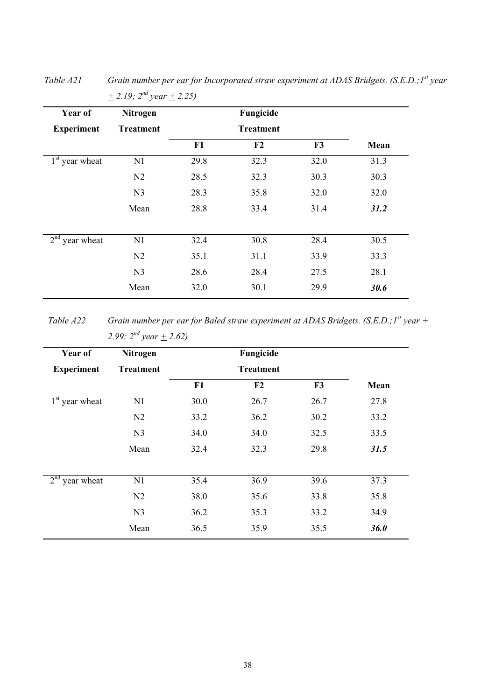| Year of                       | Nitrogen         | Fungicide |                  |      |      |
|-------------------------------|------------------|-----------|------------------|------|------|
| <b>Experiment</b>             | <b>Treatment</b> |           | <b>Treatment</b> |      |      |
|                               |                  | F1        | F <sub>2</sub>   | F3   | Mean |
| $1st$ year wheat              | N1               | 29.8      | 32.3             | 32.0 | 31.3 |
|                               | N2               | 28.5      | 32.3             | 30.3 | 30.3 |
|                               | N <sub>3</sub>   | 28.3      | 35.8             | 32.0 | 32.0 |
|                               | Mean             | 28.8      | 33.4             | 31.4 | 31.2 |
| 2 <sup>nd</sup><br>year wheat | N1               | 32.4      | 30.8             | 28.4 | 30.5 |
|                               |                  |           |                  |      |      |
|                               | N <sub>2</sub>   | 35.1      | 31.1             | 33.9 | 33.3 |
|                               | N <sub>3</sub>   | 28.6      | 28.4             | 27.5 | 28.1 |
|                               | Mean             | 32.0      | 30.1             | 29.9 | 30.6 |

*Table A21 Grain number per ear for Incorporated straw experiment at ADAS Bridgets. (S.E.D.; I<sup>st</sup> year*  $+$  2.19;  $2^{nd}$  year  $+$  2.25)

*Table A22* Grain number per ear for Baled straw experiment at ADAS Bridgets. (S.E.D.; 1<sup>st</sup> year  $\pm$ *2.99;*  $2^{nd}$  year  $\pm$  2.62)

| Year of           | Nitrogen         |      | Fungicide        |      |      |
|-------------------|------------------|------|------------------|------|------|
| <b>Experiment</b> | <b>Treatment</b> |      | <b>Treatment</b> |      |      |
|                   |                  | F1   | F2               | F3   | Mean |
| $1st$ year wheat  | N1               | 30.0 | 26.7             | 26.7 | 27.8 |
|                   | N <sub>2</sub>   | 33.2 | 36.2             | 30.2 | 33.2 |
|                   | N <sub>3</sub>   | 34.0 | 34.0             | 32.5 | 33.5 |
|                   | Mean             | 32.4 | 32.3             | 29.8 | 31.5 |
| $2nd$ year wheat  | N1               | 35.4 | 36.9             | 39.6 | 37.3 |
|                   | N2               | 38.0 | 35.6             | 33.8 | 35.8 |
|                   | N <sub>3</sub>   | 36.2 | 35.3             | 33.2 | 34.9 |
|                   | Mean             | 36.5 | 35.9             | 35.5 | 36.0 |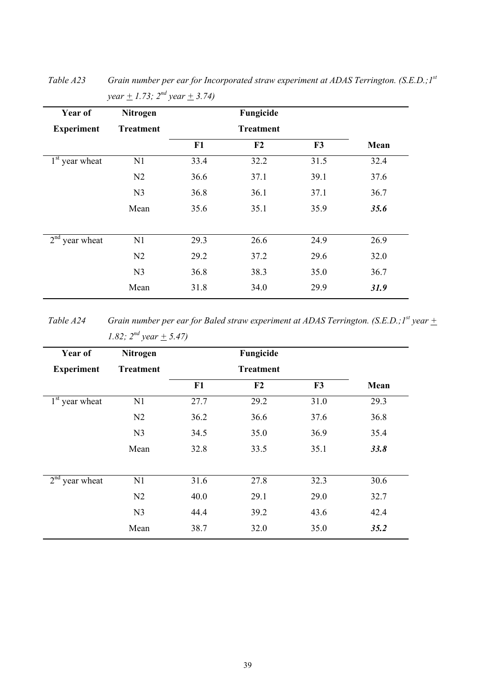| <b>Treatment</b> |      | <b>Treatment</b> |      |      |
|------------------|------|------------------|------|------|
|                  |      |                  |      |      |
|                  | F1   | F2               | F3   | Mean |
| N1               | 33.4 | 32.2             | 31.5 | 32.4 |
| N <sub>2</sub>   | 36.6 | 37.1             | 39.1 | 37.6 |
| N <sub>3</sub>   | 36.8 | 36.1             | 37.1 | 36.7 |
| Mean             | 35.6 | 35.1             | 35.9 | 35.6 |
| N1               | 29.3 | 26.6             | 24.9 | 26.9 |
| N <sub>2</sub>   | 29.2 | 37.2             | 29.6 | 32.0 |
| N <sub>3</sub>   | 36.8 | 38.3             | 35.0 | 36.7 |
| Mean             |      | 34.0             | 29.9 | 31.9 |
|                  |      | 31.8             |      |      |

*Table A23 Grain number per ear for Incorporated straw experiment at ADAS Terrington. (S.E.D.;1st year*  $\pm$  1.73;  $2^{nd}$  year  $\pm$  3.74)

*Table A24 Grain number per ear for Baled straw experiment at ADAS Terrington. (S.E.D.; 1<sup>st</sup> year*  $\pm$ *1.82;*  $2^{nd}$  year  $\pm$  5.47)

| Year of           | <b>Nitrogen</b>  | Fungicide |                  |                |      |
|-------------------|------------------|-----------|------------------|----------------|------|
| <b>Experiment</b> | <b>Treatment</b> |           | <b>Treatment</b> |                |      |
|                   |                  | F1        | F <sub>2</sub>   | F <sub>3</sub> | Mean |
| $1st$ year wheat  | N1               | 27.7      | 29.2             | 31.0           | 29.3 |
|                   | N <sub>2</sub>   | 36.2      | 36.6             | 37.6           | 36.8 |
|                   | N <sub>3</sub>   | 34.5      | 35.0             | 36.9           | 35.4 |
|                   | Mean             | 32.8      | 33.5             | 35.1           | 33.8 |
| $2nd$ year wheat  | N1               | 31.6      | 27.8             | 32.3           | 30.6 |
|                   | N <sub>2</sub>   | 40.0      | 29.1             | 29.0           | 32.7 |
|                   | N <sub>3</sub>   | 44.4      | 39.2             | 43.6           | 42.4 |
|                   | Mean             | 38.7      | 32.0             | 35.0           | 35.2 |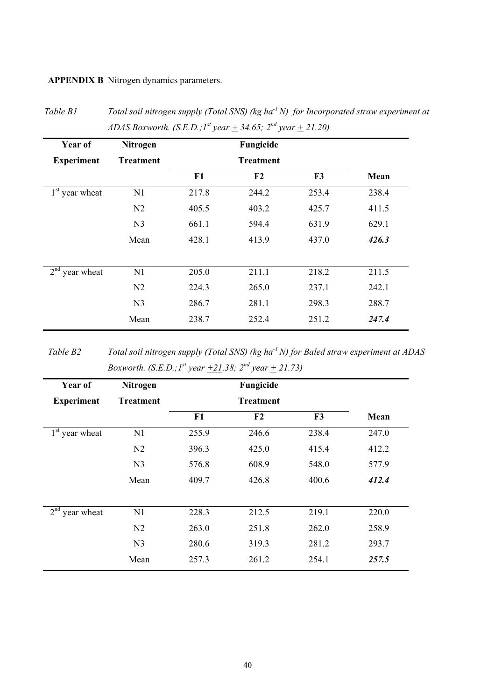**APPENDIX B** Nitrogen dynamics parameters.

|                   | ADAS Boxworth. (S.E.D.; $I^{st}$ year $\pm$ 34.65; $2^{na}$ year $\pm$ 21.20) |       |                  |       |       |  |  |
|-------------------|-------------------------------------------------------------------------------|-------|------------------|-------|-------|--|--|
| Year of           | Nitrogen                                                                      |       | Fungicide        |       |       |  |  |
| <b>Experiment</b> | <b>Treatment</b>                                                              |       | <b>Treatment</b> |       |       |  |  |
|                   |                                                                               | F1    | F2               | F3    | Mean  |  |  |
| $1st$ year wheat  | N1                                                                            | 217.8 | 244.2            | 253.4 | 238.4 |  |  |
|                   | N <sub>2</sub>                                                                | 405.5 | 403.2            | 425.7 | 411.5 |  |  |
|                   | N <sub>3</sub>                                                                | 661.1 | 594.4            | 631.9 | 629.1 |  |  |
|                   | Mean                                                                          | 428.1 | 413.9            | 437.0 | 426.3 |  |  |
| $2nd$ year wheat  | N1                                                                            | 205.0 | 211.1            | 218.2 | 211.5 |  |  |
|                   | N <sub>2</sub>                                                                | 224.3 | 265.0            | 237.1 | 242.1 |  |  |
|                   | N <sub>3</sub>                                                                | 286.7 | 281.1            | 298.3 | 288.7 |  |  |
|                   | Mean                                                                          | 238.7 | 252.4            | 251.2 | 247.4 |  |  |

*Table B1 Total soil nitrogen supply (Total SNS) (kg ha-1 N) for Incorporated straw experiment at ADAS Boxworth.* (*S.E.D.;*  $I^{st}$  year  $\pm$  34.65;  $2^{nd}$  year  $\pm$  21.20)

*Table B2 Total soil nitrogen supply (Total SNS) (kg ha-1 N) for Baled straw experiment at ADAS Boxworth.* (*S.E.D.;*  $I^{st}$  year  $\pm 2I.38$ ;  $2^{nd}$  year  $\pm 2I.73$ )

| Year of                       | <b>Nitrogen</b>  |       | Fungicide        |       |       |
|-------------------------------|------------------|-------|------------------|-------|-------|
| <b>Experiment</b>             | <b>Treatment</b> |       | <b>Treatment</b> |       |       |
|                               |                  | F1    | F <sub>2</sub>   | F3    | Mean  |
| $1st$ year wheat              | N1               | 255.9 | 246.6            | 238.4 | 247.0 |
|                               | N <sub>2</sub>   | 396.3 | 425.0            | 415.4 | 412.2 |
|                               | N <sub>3</sub>   | 576.8 | 608.9            | 548.0 | 577.9 |
|                               | Mean             | 409.7 | 426.8            | 400.6 | 412.4 |
|                               |                  |       |                  |       |       |
| 2 <sup>nd</sup><br>year wheat | N1               | 228.3 | 212.5            | 219.1 | 220.0 |
|                               | N <sub>2</sub>   | 263.0 | 251.8            | 262.0 | 258.9 |
|                               | N <sub>3</sub>   | 280.6 | 319.3            | 281.2 | 293.7 |
|                               | Mean             | 257.3 | 261.2            | 254.1 | 257.5 |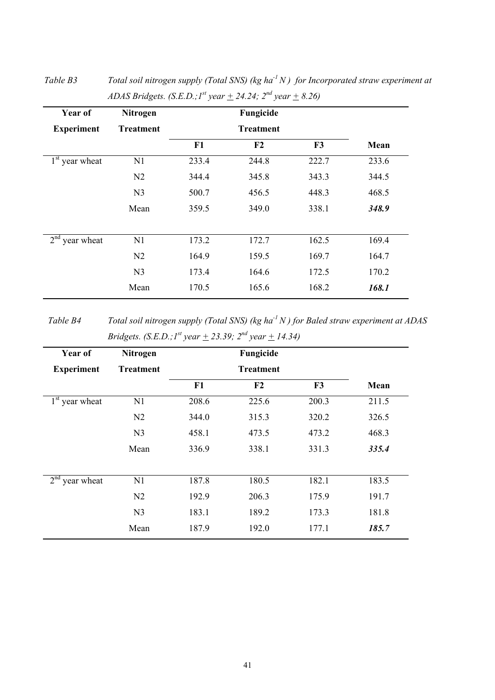| Year of                       | <b>Nitrogen</b>  |                  | Fungicide      |       |       |
|-------------------------------|------------------|------------------|----------------|-------|-------|
| <b>Experiment</b>             | <b>Treatment</b> | <b>Treatment</b> |                |       |       |
|                               |                  | F1               | F <sub>2</sub> | F3    | Mean  |
| $1st$ year wheat              | N1               | 233.4            | 244.8          | 222.7 | 233.6 |
|                               | N <sub>2</sub>   | 344.4            | 345.8          | 343.3 | 344.5 |
|                               | N <sub>3</sub>   | 500.7            | 456.5          | 448.3 | 468.5 |
|                               | Mean             | 359.5            | 349.0          | 338.1 | 348.9 |
| 2 <sup>nd</sup><br>year wheat | N1               | 173.2            | 172.7          | 162.5 | 169.4 |
|                               | N <sub>2</sub>   | 164.9            | 159.5          | 169.7 | 164.7 |
|                               | N <sub>3</sub>   | 173.4            | 164.6          | 172.5 | 170.2 |
|                               | Mean             | 170.5            | 165.6          | 168.2 | 168.1 |

*Table B3 Total soil nitrogen supply (Total SNS) (kg ha-1 N ) for Incorporated straw experiment at ADAS Bridgets.* (*S.E.D.;*  $I^{st}$  *year*  $\pm$  24.24;  $2^{nd}$  *year*  $\pm$  8.26)

*Table B4 Total soil nitrogen supply (Total SNS) (kg ha-1 N ) for Baled straw experiment at ADAS Bridgets. (S.E.D.; 1<sup>st</sup> year*  $\pm$  *23.39; 2<sup>nd</sup> year*  $\pm$  *14.34)* 

| Year of           | <b>Nitrogen</b>  |       | Fungicide        |       |       |
|-------------------|------------------|-------|------------------|-------|-------|
| <b>Experiment</b> | <b>Treatment</b> |       | <b>Treatment</b> |       |       |
|                   |                  | F1    | F2               | F3    | Mean  |
| $1st$ year wheat  | N1               | 208.6 | 225.6            | 200.3 | 211.5 |
|                   | N <sub>2</sub>   | 344.0 | 315.3            | 320.2 | 326.5 |
|                   | N <sub>3</sub>   | 458.1 | 473.5            | 473.2 | 468.3 |
|                   | Mean             | 336.9 | 338.1            | 331.3 | 335.4 |
| $2nd$ year wheat  | N1               | 187.8 | 180.5            | 182.1 | 183.5 |
|                   |                  |       |                  |       |       |
|                   | N <sub>2</sub>   | 192.9 | 206.3            | 175.9 | 191.7 |
|                   | N <sub>3</sub>   | 183.1 | 189.2            | 173.3 | 181.8 |
|                   | Mean             | 187.9 | 192.0            | 177.1 | 185.7 |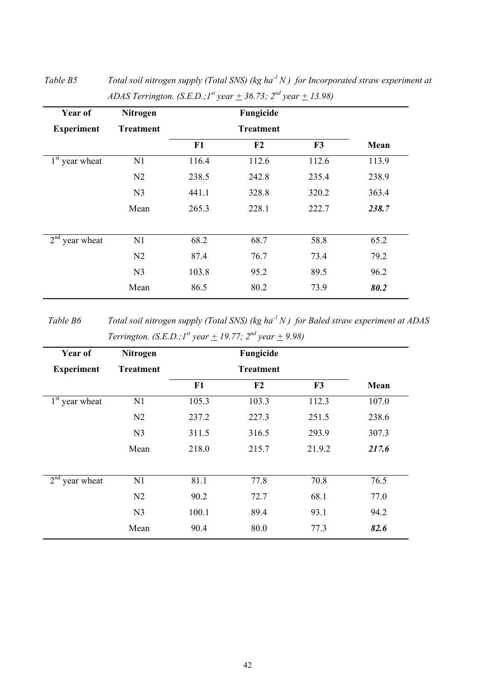| Year of                       | <b>Nitrogen</b>  |       | Fungicide        |       |       |
|-------------------------------|------------------|-------|------------------|-------|-------|
| <b>Experiment</b>             | <b>Treatment</b> |       | <b>Treatment</b> |       |       |
|                               |                  | F1    | F <sub>2</sub>   | F3    | Mean  |
| $1st$ year wheat              | N1               | 116.4 | 112.6            | 112.6 | 113.9 |
|                               | N <sub>2</sub>   | 238.5 | 242.8            | 235.4 | 238.9 |
|                               | N <sub>3</sub>   | 441.1 | 328.8            | 320.2 | 363.4 |
|                               | Mean             | 265.3 | 228.1            | 222.7 | 238.7 |
| 2 <sup>nd</sup><br>year wheat | N1               | 68.2  | 68.7             | 58.8  | 65.2  |
|                               | N <sub>2</sub>   | 87.4  | 76.7             | 73.4  | 79.2  |
|                               | N <sub>3</sub>   | 103.8 | 95.2             | 89.5  | 96.2  |
|                               | Mean             | 86.5  | 80.2             | 73.9  | 80.2  |

*Table B5 Total soil nitrogen supply (Total SNS) (kg ha-1 N ) for Incorporated straw experiment at ADAS Terrington. (S.E.D.; 1<sup>st</sup> year*  $\pm$  *36.73; 2<sup>nd</sup> year*  $\pm$  *13.98)* 

*Table B6 Total soil nitrogen supply (Total SNS) (kg ha-1 N ) for Baled straw experiment at ADAS Terrington.* (*S.E.D.;*  $I^{st}$  *year*  $+$  19.77;  $2^{nd}$  *year*  $+$  9.98)

| Year of           | Nitrogen         |       | Fungicide        |        |       |
|-------------------|------------------|-------|------------------|--------|-------|
| <b>Experiment</b> | <b>Treatment</b> |       | <b>Treatment</b> |        |       |
|                   |                  | F1    | F2               | F3     | Mean  |
| $1st$ year wheat  | N1               | 105.3 | 103.3            | 112.3  | 107.0 |
|                   | N <sub>2</sub>   | 237.2 | 227.3            | 251.5  | 238.6 |
|                   | N <sub>3</sub>   | 311.5 | 316.5            | 293.9  | 307.3 |
|                   | Mean             | 218.0 | 215.7            | 21.9.2 | 217.6 |
|                   |                  |       |                  |        |       |
| $2nd$ year wheat  | N1               | 81.1  | 77.8             | 70.8   | 76.5  |
|                   | N <sub>2</sub>   | 90.2  | 72.7             | 68.1   | 77.0  |
|                   | N <sub>3</sub>   | 100.1 | 89.4             | 93.1   | 94.2  |
|                   | Mean             | 90.4  | 80.0             | 77.3   | 82.6  |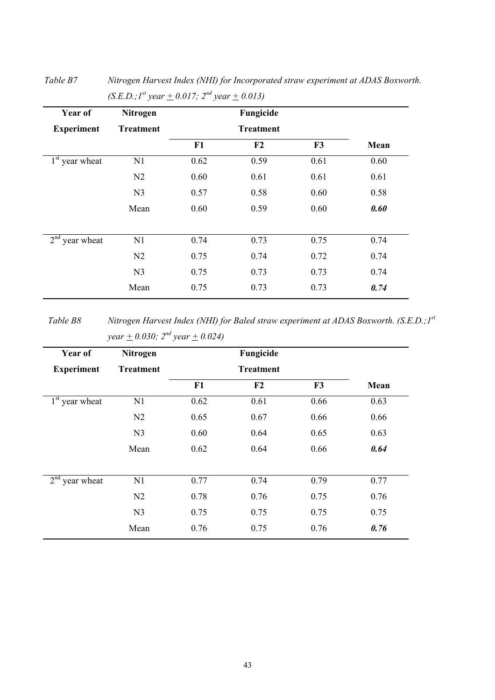| Year of           | Nitrogen         |      | Fungicide        |      |      |
|-------------------|------------------|------|------------------|------|------|
| <b>Experiment</b> | <b>Treatment</b> |      | <b>Treatment</b> |      |      |
|                   |                  | F1   | F <sub>2</sub>   | F3   | Mean |
| $1st$ year wheat  | N1               | 0.62 | 0.59             | 0.61 | 0.60 |
|                   | N <sub>2</sub>   | 0.60 | 0.61             | 0.61 | 0.61 |
|                   | N <sub>3</sub>   | 0.57 | 0.58             | 0.60 | 0.58 |
|                   | Mean             | 0.60 | 0.59             | 0.60 | 0.60 |
| $2nd$ year wheat  | N1               | 0.74 | 0.73             | 0.75 | 0.74 |
|                   | N <sub>2</sub>   | 0.75 | 0.74             | 0.72 | 0.74 |
|                   | N <sub>3</sub>   | 0.75 | 0.73             | 0.73 | 0.74 |
|                   | Mean             | 0.75 | 0.73             | 0.73 | 0.74 |
|                   |                  |      |                  |      |      |

*Table B7 Nitrogen Harvest Index (NHI) for Incorporated straw experiment at ADAS Boxworth.*   $(S.E.D.; I<sup>st</sup> year + 0.017; 2<sup>nd</sup> year + 0.013)$ 

*Table B8 Nitrogen Harvest Index (NHI) for Baled straw experiment at ADAS Boxworth. (S.E.D.;1st year*  $\pm$  0.030;  $2^{nd}$  year  $\pm$  0.024)

| <b>Treatment</b> |      |                  |      |      |
|------------------|------|------------------|------|------|
|                  |      | <b>Treatment</b> |      |      |
|                  | F1   | F2               | F3   | Mean |
| N1               | 0.62 | 0.61             | 0.66 | 0.63 |
| N2               | 0.65 | 0.67             | 0.66 | 0.66 |
| N <sub>3</sub>   | 0.60 | 0.64             | 0.65 | 0.63 |
| Mean             | 0.62 | 0.64             | 0.66 | 0.64 |
| N1               | 0.77 | 0.74             | 0.79 | 0.77 |
| N2               | 0.78 | 0.76             | 0.75 | 0.76 |
| N <sub>3</sub>   | 0.75 | 0.75             | 0.75 | 0.75 |
| Mean             | 0.76 | 0.75             | 0.76 | 0.76 |
|                  |      |                  |      |      |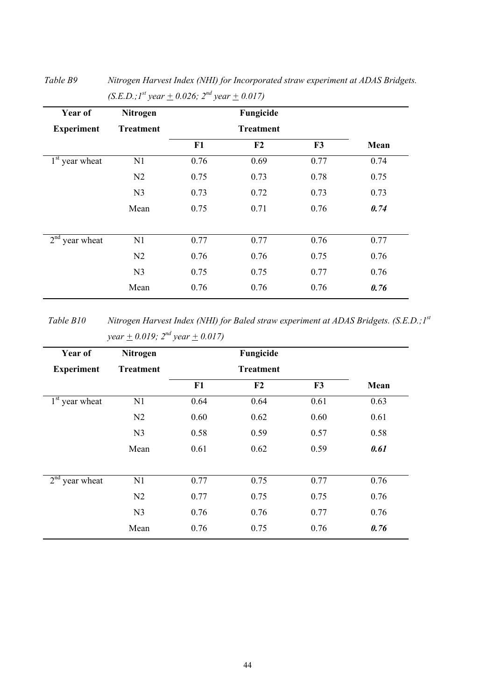| Year of           | Nitrogen         |      | Fungicide        |      |      |
|-------------------|------------------|------|------------------|------|------|
| <b>Experiment</b> | <b>Treatment</b> |      | <b>Treatment</b> |      |      |
|                   |                  | F1   | F2               | F3   | Mean |
| $1st$ year wheat  | N1               | 0.76 | 0.69             | 0.77 | 0.74 |
|                   | N2               | 0.75 | 0.73             | 0.78 | 0.75 |
|                   | N <sub>3</sub>   | 0.73 | 0.72             | 0.73 | 0.73 |
|                   | Mean             | 0.75 | 0.71             | 0.76 | 0.74 |
| $2nd$ year wheat  | N1               | 0.77 | 0.77             | 0.76 | 0.77 |
|                   | N <sub>2</sub>   | 0.76 | 0.76             | 0.75 | 0.76 |
|                   | N <sub>3</sub>   | 0.75 | 0.75             | 0.77 | 0.76 |
|                   | Mean             | 0.76 | 0.76             | 0.76 | 0.76 |

*Table B9 Nitrogen Harvest Index (NHI) for Incorporated straw experiment at ADAS Bridgets.*   $(S.E.D.; I<sup>st</sup> year + 0.026; 2<sup>nd</sup> year + 0.017)$ 

*Table B10 Nitrogen Harvest Index (NHI) for Baled straw experiment at ADAS Bridgets. (S.E.D.;1st year*  $\pm$  0.019;  $2^{nd}$  year  $\pm$  0.017)

| Year of           | Nitrogen         |      | Fungicide        |      |      |
|-------------------|------------------|------|------------------|------|------|
| <b>Experiment</b> | <b>Treatment</b> |      | <b>Treatment</b> |      |      |
|                   |                  | F1   | F2               | F3   | Mean |
| $1st$ year wheat  | N1               | 0.64 | 0.64             | 0.61 | 0.63 |
|                   | N2               | 0.60 | 0.62             | 0.60 | 0.61 |
|                   | N <sub>3</sub>   | 0.58 | 0.59             | 0.57 | 0.58 |
|                   | Mean             | 0.61 | 0.62             | 0.59 | 0.61 |
| $2nd$ year wheat  | N1               | 0.77 | 0.75             | 0.77 | 0.76 |
|                   | N2               | 0.77 | 0.75             | 0.75 | 0.76 |
|                   | N <sub>3</sub>   | 0.76 | 0.76             | 0.77 | 0.76 |
|                   | Mean             | 0.76 | 0.75             | 0.76 | 0.76 |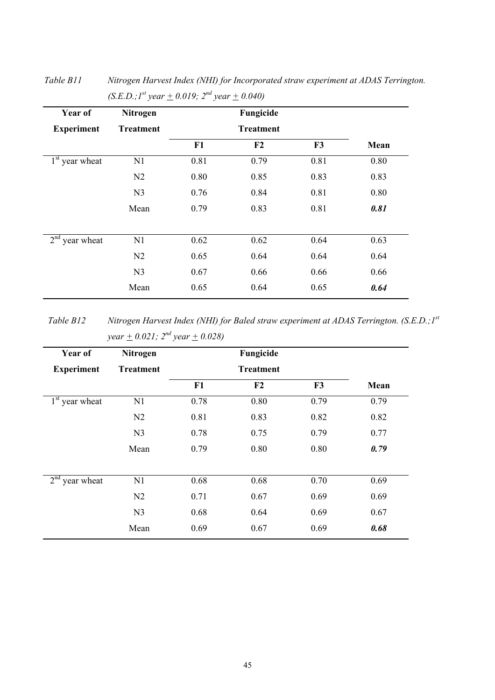| Year of           | Nitrogen         |      | Fungicide        |      |      |
|-------------------|------------------|------|------------------|------|------|
| <b>Experiment</b> | <b>Treatment</b> |      | <b>Treatment</b> |      |      |
|                   |                  | F1   | F <sub>2</sub>   | F3   | Mean |
| $1st$ year wheat  | N1               | 0.81 | 0.79             | 0.81 | 0.80 |
|                   | N <sub>2</sub>   | 0.80 | 0.85             | 0.83 | 0.83 |
|                   | N <sub>3</sub>   | 0.76 | 0.84             | 0.81 | 0.80 |
|                   | Mean             | 0.79 | 0.83             | 0.81 | 0.81 |
|                   |                  |      |                  |      |      |
| $2nd$ year wheat  | N1               | 0.62 | 0.62             | 0.64 | 0.63 |
|                   | N <sub>2</sub>   | 0.65 | 0.64             | 0.64 | 0.64 |
|                   | N <sub>3</sub>   | 0.67 | 0.66             | 0.66 | 0.66 |
|                   | Mean             | 0.65 | 0.64             | 0.65 | 0.64 |

*Table B11 Nitrogen Harvest Index (NHI) for Incorporated straw experiment at ADAS Terrington.*   $(S.E.D.; I<sup>st</sup> year + 0.019; 2<sup>nd</sup> year + 0.040)$ 

*Table B12 Nitrogen Harvest Index (NHI) for Baled straw experiment at ADAS Terrington. (S.E.D.;1st year*  $\pm$  0.021;  $2^{nd}$  year  $\pm$  0.028)

| Year of           | Nitrogen         |                  | Fungicide      |                |      |
|-------------------|------------------|------------------|----------------|----------------|------|
| <b>Experiment</b> | <b>Treatment</b> | <b>Treatment</b> |                |                |      |
|                   |                  | F1               | F <sub>2</sub> | F <sub>3</sub> | Mean |
| $1st$ year wheat  | N1               | 0.78             | 0.80           | 0.79           | 0.79 |
|                   | N2               | 0.81             | 0.83           | 0.82           | 0.82 |
|                   | N <sub>3</sub>   | 0.78             | 0.75           | 0.79           | 0.77 |
|                   | Mean             | 0.79             | 0.80           | 0.80           | 0.79 |
|                   |                  |                  |                |                |      |
| $2nd$ year wheat  | N1               | 0.68             | 0.68           | 0.70           | 0.69 |
|                   | N <sub>2</sub>   | 0.71             | 0.67           | 0.69           | 0.69 |
|                   | N <sub>3</sub>   | 0.68             | 0.64           | 0.69           | 0.67 |
|                   | Mean             | 0.69             | 0.67           | 0.69           | 0.68 |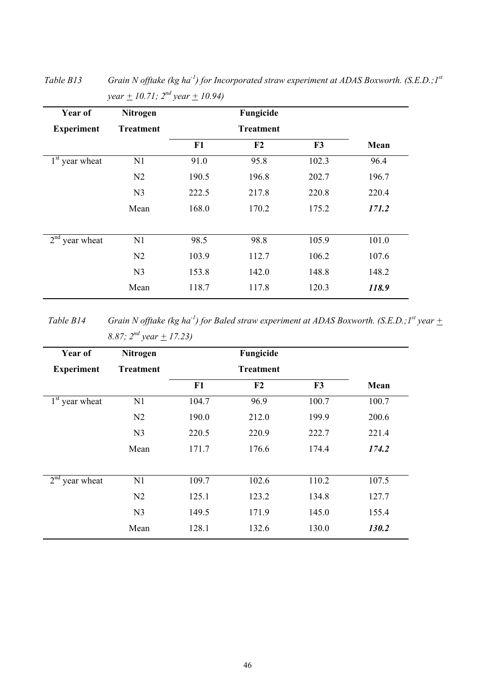| Year of                       | Nitrogen         |       | Fungicide        |       |       |
|-------------------------------|------------------|-------|------------------|-------|-------|
| <b>Experiment</b>             | <b>Treatment</b> |       | <b>Treatment</b> |       |       |
|                               |                  | F1    | F <sub>2</sub>   | F3    | Mean  |
| $1st$ year wheat              | N1               | 91.0  | 95.8             | 102.3 | 96.4  |
|                               | N2               | 190.5 | 196.8            | 202.7 | 196.7 |
|                               | N <sub>3</sub>   | 222.5 | 217.8            | 220.8 | 220.4 |
|                               | Mean             | 168.0 | 170.2            | 175.2 | 171.2 |
|                               |                  |       |                  |       |       |
| 2 <sup>nd</sup><br>year wheat | N1               | 98.5  | 98.8             | 105.9 | 101.0 |
|                               | N2               | 103.9 | 112.7            | 106.2 | 107.6 |
|                               | N <sub>3</sub>   | 153.8 | 142.0            | 148.8 | 148.2 |
|                               | Mean             | 118.7 | 117.8            | 120.3 | 118.9 |

*Table B13 Grain N offtake (kg ha-1) for Incorporated straw experiment at ADAS Boxworth. (S.E.D.;1st year*  $\pm$  10.71;  $2^{nd}$  year  $\pm$  10.94)

*Table B14 Grain N offtake (kg ha<sup>-1</sup>) for Baled straw experiment at ADAS Boxworth. (S.E.D.;1<sup>st</sup> year*  $\pm$ *8.87; 2nd year + 17.23)* 

| Year of           | <b>Nitrogen</b>  |       | Fungicide        |       |       |
|-------------------|------------------|-------|------------------|-------|-------|
| <b>Experiment</b> | <b>Treatment</b> |       | <b>Treatment</b> |       |       |
|                   |                  | F1    | F2               | F3    | Mean  |
| $1st$ year wheat  | N1               | 104.7 | 96.9             | 100.7 | 100.7 |
|                   | N <sub>2</sub>   | 190.0 | 212.0            | 199.9 | 200.6 |
|                   | N <sub>3</sub>   | 220.5 | 220.9            | 222.7 | 221.4 |
|                   | Mean             | 171.7 | 176.6            | 174.4 | 174.2 |
|                   |                  |       |                  |       |       |
| $2nd$ year wheat  | N1               | 109.7 | 102.6            | 110.2 | 107.5 |
|                   | N <sub>2</sub>   | 125.1 | 123.2            | 134.8 | 127.7 |
|                   | N <sub>3</sub>   | 149.5 | 171.9            | 145.0 | 155.4 |
|                   | Mean             | 128.1 | 132.6            | 130.0 | 130.2 |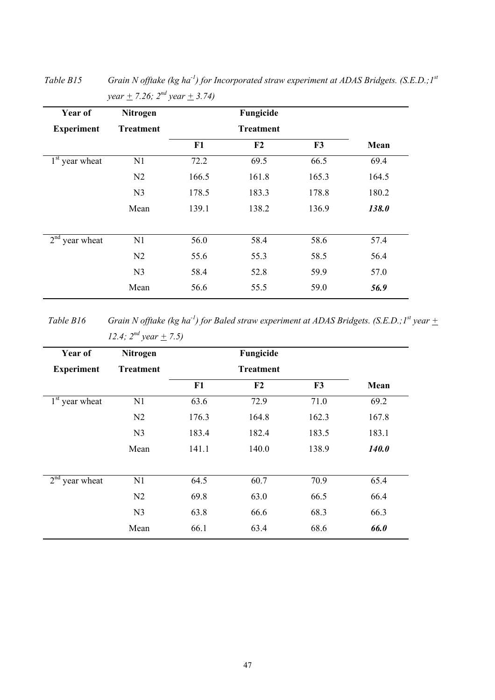| <b>Treatment</b><br>N1 | F1<br>72.2 | <b>Treatment</b><br>F2 | F3    | Mean  |
|------------------------|------------|------------------------|-------|-------|
|                        |            |                        |       |       |
|                        |            |                        |       |       |
|                        |            | 69.5                   | 66.5  | 69.4  |
| N <sub>2</sub>         | 166.5      | 161.8                  | 165.3 | 164.5 |
| N <sub>3</sub>         | 178.5      | 183.3                  | 178.8 | 180.2 |
| Mean                   | 139.1      | 138.2                  | 136.9 | 138.0 |
| N1                     | 56.0       | 58.4                   | 58.6  | 57.4  |
| N <sub>2</sub>         | 55.6       | 55.3                   | 58.5  | 56.4  |
| N <sub>3</sub>         | 58.4       | 52.8                   | 59.9  | 57.0  |
| Mean                   | 56.6       | 55.5                   | 59.0  | 56.9  |
|                        |            |                        |       |       |

*Table B15 Grain N offtake (kg ha-1) for Incorporated straw experiment at ADAS Bridgets. (S.E.D.;1st year*  $\pm$  7.26;  $2^{nd}$  year  $\pm$  3.74)

*Table B16 Grain N offtake (kg ha<sup>-1</sup>) for Baled straw experiment at ADAS Bridgets. (S.E.D.; 1<sup>st</sup> year*  $\pm$ *12.4;*  $2^{nd}$  year  $\pm$  7.5)

| Year of           | <b>Nitrogen</b>  |       | Fungicide        |       |              |
|-------------------|------------------|-------|------------------|-------|--------------|
| <b>Experiment</b> | <b>Treatment</b> |       | <b>Treatment</b> |       |              |
|                   |                  | F1    | F2               | F3    | Mean         |
| $1st$ year wheat  | N1               | 63.6  | 72.9             | 71.0  | 69.2         |
|                   | N <sub>2</sub>   | 176.3 | 164.8            | 162.3 | 167.8        |
|                   | N <sub>3</sub>   | 183.4 | 182.4            | 183.5 | 183.1        |
|                   | Mean             | 141.1 | 140.0            | 138.9 | <b>140.0</b> |
| $2nd$ year wheat  | N1               | 64.5  | 60.7             | 70.9  | 65.4         |
|                   | N <sub>2</sub>   | 69.8  | 63.0             | 66.5  | 66.4         |
|                   | N <sub>3</sub>   | 63.8  | 66.6             | 68.3  | 66.3         |
|                   | Mean             | 66.1  | 63.4             | 68.6  | 66.0         |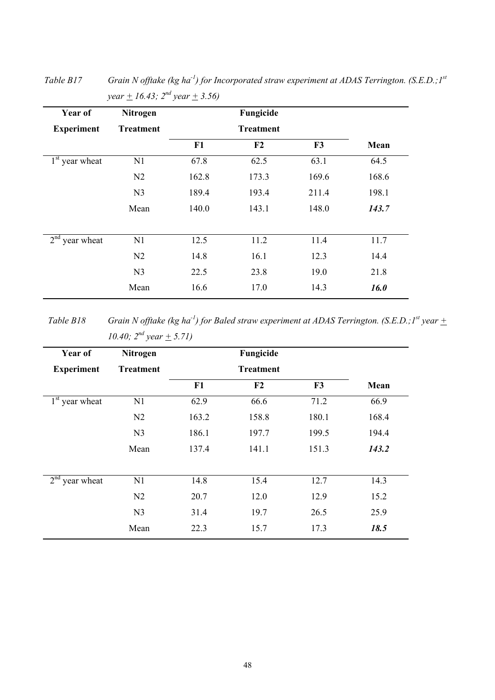| Year of                       | Nitrogen         |       | Fungicide      |                |       |
|-------------------------------|------------------|-------|----------------|----------------|-------|
| <b>Experiment</b>             | <b>Treatment</b> |       |                |                |       |
|                               |                  | F1    | F <sub>2</sub> | F <sub>3</sub> | Mean  |
| $1st$ year wheat              | N1               | 67.8  | 62.5           | 63.1           | 64.5  |
|                               | N <sub>2</sub>   | 162.8 | 173.3          | 169.6          | 168.6 |
|                               | N <sub>3</sub>   | 189.4 | 193.4          | 211.4          | 198.1 |
|                               | Mean             | 140.0 | 143.1          | 148.0          | 143.7 |
| 2 <sup>nd</sup><br>year wheat | N1               | 12.5  | 11.2           | 11.4           | 11.7  |
|                               | N <sub>2</sub>   | 14.8  | 16.1           | 12.3           | 14.4  |
|                               | N <sub>3</sub>   | 22.5  | 23.8           | 19.0           | 21.8  |
|                               | Mean             | 16.6  | 17.0           | 14.3           | 16.0  |

*Table B17 Grain N offtake (kg ha-1) for Incorporated straw experiment at ADAS Terrington. (S.E.D.;1st year + 16.43; 2nd year + 3.56)* 

*Table B18 Grain N offtake (kg ha<sup>-1</sup>) for Baled straw experiment at ADAS Terrington. (S.E.D.;1<sup>st</sup> year*  $\pm$ *10.40;*  $2^{nd}$  year  $\pm$  5.71)

| Year of           | <b>Nitrogen</b>  |                  | Fungicide |       |       |
|-------------------|------------------|------------------|-----------|-------|-------|
| <b>Experiment</b> | <b>Treatment</b> | <b>Treatment</b> |           |       |       |
|                   |                  | F1               | F2        | F3    | Mean  |
| $1st$ year wheat  | N1               | 62.9             | 66.6      | 71.2  | 66.9  |
|                   | N <sub>2</sub>   | 163.2            | 158.8     | 180.1 | 168.4 |
|                   | N <sub>3</sub>   | 186.1            | 197.7     | 199.5 | 194.4 |
|                   | Mean             | 137.4            | 141.1     | 151.3 | 143.2 |
| $2nd$ year wheat  | N1               | 14.8             | 15.4      | 12.7  | 14.3  |
|                   | N <sub>2</sub>   | 20.7             | 12.0      | 12.9  | 15.2  |
|                   | N <sub>3</sub>   | 31.4             | 19.7      | 26.5  | 25.9  |
|                   | Mean             | 22.3             | 15.7      | 17.3  | 18.5  |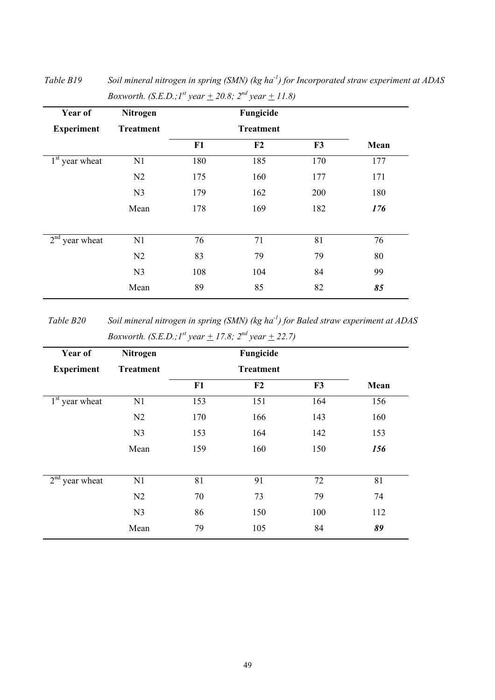| Year of           | Nitrogen         |     | Fungicide        |     |      |
|-------------------|------------------|-----|------------------|-----|------|
| <b>Experiment</b> | <b>Treatment</b> |     | <b>Treatment</b> |     |      |
|                   |                  | F1  | F <sub>2</sub>   | F3  | Mean |
| $1st$ year wheat  | N1               | 180 | 185              | 170 | 177  |
|                   | N2               | 175 | 160              | 177 | 171  |
|                   | N <sub>3</sub>   | 179 | 162              | 200 | 180  |
|                   | Mean             | 178 | 169              | 182 | 176  |
|                   |                  |     |                  |     |      |
| $2nd$ year wheat  | N1               | 76  | 71               | 81  | 76   |
|                   | N2               | 83  | 79               | 79  | 80   |
|                   | N <sub>3</sub>   | 108 | 104              | 84  | 99   |
|                   | Mean             | 89  | 85               | 82  | 85   |

*Table B19 Soil mineral nitrogen in spring (SMN) (kg ha-1) for Incorporated straw experiment at ADAS Boxworth. (S.E.D.;1<sup>st</sup> year*  $\pm$  20.8; 2<sup>nd</sup> year  $\pm$  11.8)

*Table B20 Soil mineral nitrogen in spring (SMN) (kg ha-1) for Baled straw experiment at ADAS Boxworth.* (*S.E.D.;*  $I^{st}$  *year*  $+$  17.8;  $2^{nd}$  *year*  $+$  22.7)

| Year of           | <b>Nitrogen</b>  |     | Fungicide |     |      |
|-------------------|------------------|-----|-----------|-----|------|
| <b>Experiment</b> | <b>Treatment</b> |     |           |     |      |
|                   |                  | F1  | F2        | F3  | Mean |
| $1st$ year wheat  | N1               | 153 | 151       | 164 | 156  |
|                   | N <sub>2</sub>   | 170 | 166       | 143 | 160  |
|                   | N <sub>3</sub>   | 153 | 164       | 142 | 153  |
|                   | Mean             | 159 | 160       | 150 | 156  |
| $2nd$ year wheat  | N1               | 81  | 91        | 72  | 81   |
|                   | N <sub>2</sub>   | 70  | 73        | 79  | 74   |
|                   | N <sub>3</sub>   | 86  | 150       | 100 | 112  |
|                   | Mean             | 79  | 105       | 84  | 89   |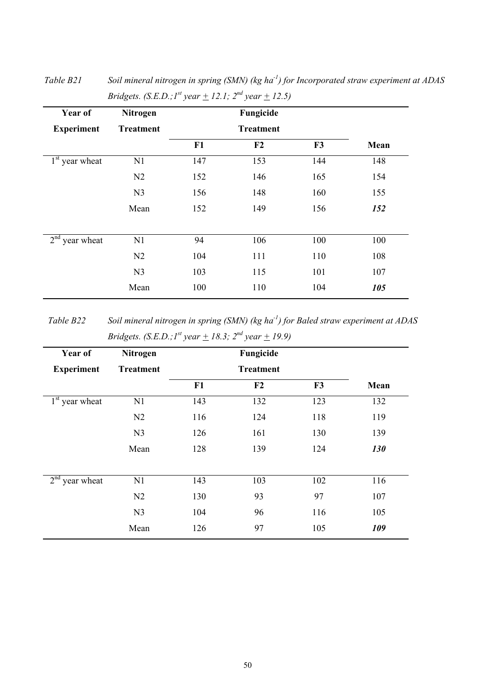| Year of           | Nitrogen         |     | Fungicide |     |      |
|-------------------|------------------|-----|-----------|-----|------|
| <b>Experiment</b> | <b>Treatment</b> |     |           |     |      |
|                   |                  | F1  | F2        | F3  | Mean |
| $1st$ year wheat  | N1               | 147 | 153       | 144 | 148  |
|                   | N <sub>2</sub>   | 152 | 146       | 165 | 154  |
|                   | N <sub>3</sub>   | 156 | 148       | 160 | 155  |
|                   | Mean             | 152 | 149       | 156 | 152  |
| $2nd$ year wheat  | N1               | 94  | 106       | 100 | 100  |
|                   | N2               | 104 | 111       | 110 | 108  |
|                   | N <sub>3</sub>   | 103 | 115       | 101 | 107  |
|                   | Mean             | 100 | 110       | 104 | 105  |

*Table B21 Soil mineral nitrogen in spring (SMN) (kg ha-1) for Incorporated straw experiment at ADAS Bridgets. (S.E.D.;*  $I^{st}$  *year*  $+$  12.1;  $2^{nd}$  *year*  $+$  12.5)

*Table B22 Soil mineral nitrogen in spring (SMN) (kg ha-1) for Baled straw experiment at ADAS Bridgets. (S.E.D.;1<sup>st</sup> year*  $\pm$  18.3;  $2^{nd}$  year  $\pm$  19.9)

| Year of           | Nitrogen         |     | Fungicide        |     |      |
|-------------------|------------------|-----|------------------|-----|------|
| <b>Experiment</b> | <b>Treatment</b> |     | <b>Treatment</b> |     |      |
|                   |                  | F1  | F2               | F3  | Mean |
| $1st$ year wheat  | N1               | 143 | 132              | 123 | 132  |
|                   | N <sub>2</sub>   | 116 | 124              | 118 | 119  |
|                   | N <sub>3</sub>   | 126 | 161              | 130 | 139  |
|                   | Mean             | 128 | 139              | 124 | 130  |
|                   |                  |     |                  |     |      |
| $2nd$ year wheat  | N1               | 143 | 103              | 102 | 116  |
|                   | N <sub>2</sub>   | 130 | 93               | 97  | 107  |
|                   | N <sub>3</sub>   | 104 | 96               | 116 | 105  |
|                   | Mean             | 126 | 97               | 105 | 109  |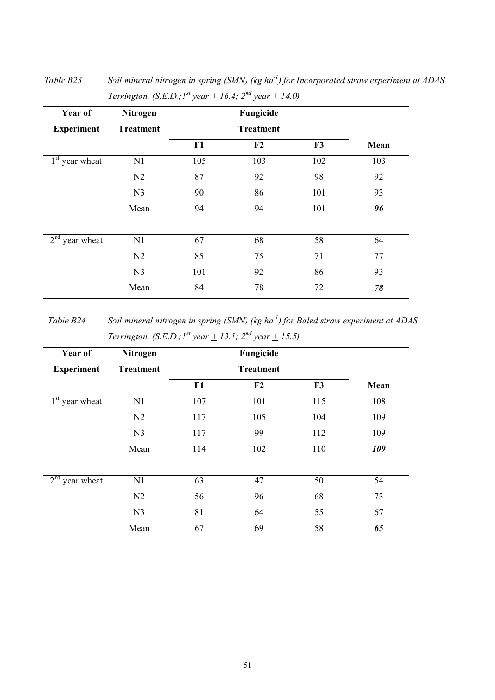| Year of           | Nitrogen         |                  | Fungicide |     |      |
|-------------------|------------------|------------------|-----------|-----|------|
| <b>Experiment</b> | <b>Treatment</b> | <b>Treatment</b> |           |     |      |
|                   |                  | F1               | F2        | F3  | Mean |
| $1st$ year wheat  | N1               | 105              | 103       | 102 | 103  |
|                   | N2               | 87               | 92        | 98  | 92   |
|                   | N <sub>3</sub>   | 90               | 86        | 101 | 93   |
|                   | Mean             | 94               | 94        | 101 | 96   |
|                   |                  |                  |           |     |      |
| $2nd$ year wheat  | N1               | 67               | 68        | 58  | 64   |
|                   | N2               | 85               | 75        | 71  | 77   |
|                   | N <sub>3</sub>   | 101              | 92        | 86  | 93   |
|                   | Mean             | 84               | 78        | 72  | 78   |

*Table B23 Soil mineral nitrogen in spring (SMN) (kg ha-1) for Incorporated straw experiment at ADAS Terrington.* (*S.E.D.;*  $I^{st}$  *year*  $\pm$  16.4;  $2^{nd}$  *year*  $\pm$  14.0)

*Table B24 Soil mineral nitrogen in spring (SMN) (kg ha-1) for Baled straw experiment at ADAS Terrington. (S.E.D.;1<sup>st</sup> year*  $\pm$  *13.1; 2<sup>nd</sup> year*  $\pm$  *15.5)* 

| Year of           | <b>Nitrogen</b>  |     | Fungicide |     |      |
|-------------------|------------------|-----|-----------|-----|------|
| <b>Experiment</b> | <b>Treatment</b> |     |           |     |      |
|                   |                  | F1  | F2        | F3  | Mean |
| $1st$ year wheat  | N1               | 107 | 101       | 115 | 108  |
|                   | N <sub>2</sub>   | 117 | 105       | 104 | 109  |
|                   | N <sub>3</sub>   | 117 | 99        | 112 | 109  |
|                   | Mean             | 114 | 102       | 110 | 109  |
| $2nd$ year wheat  | N1               | 63  | 47        | 50  | 54   |
|                   | N <sub>2</sub>   | 56  | 96        | 68  | 73   |
|                   | N <sub>3</sub>   | 81  | 64        | 55  | 67   |
|                   | Mean             | 67  | 69        | 58  | 65   |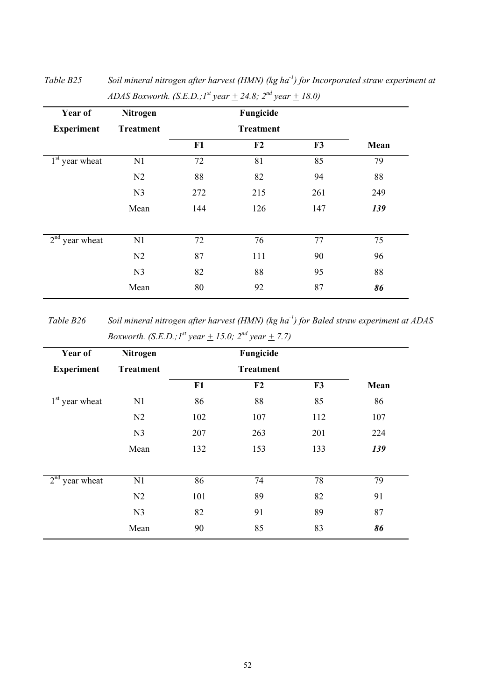| Year of           | <b>Nitrogen</b>  |                  |     |     |      |
|-------------------|------------------|------------------|-----|-----|------|
| <b>Experiment</b> | <b>Treatment</b> | <b>Treatment</b> |     |     |      |
|                   |                  | F1               | F2  | F3  | Mean |
| $1st$ year wheat  | N1               | 72               | 81  | 85  | 79   |
|                   | N <sub>2</sub>   | 88               | 82  | 94  | 88   |
|                   | N <sub>3</sub>   | 272              | 215 | 261 | 249  |
|                   | Mean             | 144              | 126 | 147 | 139  |
| $2nd$ year wheat  | N1               | 72               | 76  | 77  | 75   |
|                   | N <sub>2</sub>   | 87               | 111 | 90  | 96   |
|                   | N <sub>3</sub>   | 82               | 88  | 95  | 88   |
|                   | Mean             | 80               | 92  | 87  | 86   |

*Table B25 Soil mineral nitrogen after harvest (HMN) (kg ha-1) for Incorporated straw experiment at ADAS Boxworth. (S.E.D.;1<sup>st</sup> year*  $\pm$  *24.8; 2<sup>nd</sup> year*  $\pm$  *18.0)* 

*Table B26 Soil mineral nitrogen after harvest (HMN) (kg ha-1) for Baled straw experiment at ADAS Boxworth.* (*S.E.D.;*  $I^{st}$  *year*  $+$  15.0;  $2^{nd}$  *year*  $+$  7.7)

| Year of           | <b>Nitrogen</b>  |                  | Fungicide |     |      |
|-------------------|------------------|------------------|-----------|-----|------|
| <b>Experiment</b> | <b>Treatment</b> | <b>Treatment</b> |           |     |      |
|                   |                  | F1               | F2        | F3  | Mean |
| $1st$ year wheat  | N1               | 86               | 88        | 85  | 86   |
|                   | N <sub>2</sub>   | 102              | 107       | 112 | 107  |
|                   | N <sub>3</sub>   | 207              | 263       | 201 | 224  |
|                   | Mean             | 132              | 153       | 133 | 139  |
|                   |                  |                  |           |     |      |
| $2nd$ year wheat  | N1               | 86               | 74        | 78  | 79   |
|                   | N <sub>2</sub>   | 101              | 89        | 82  | 91   |
|                   | N <sub>3</sub>   | 82               | 91        | 89  | 87   |
|                   | Mean             | 90               | 85        | 83  | 86   |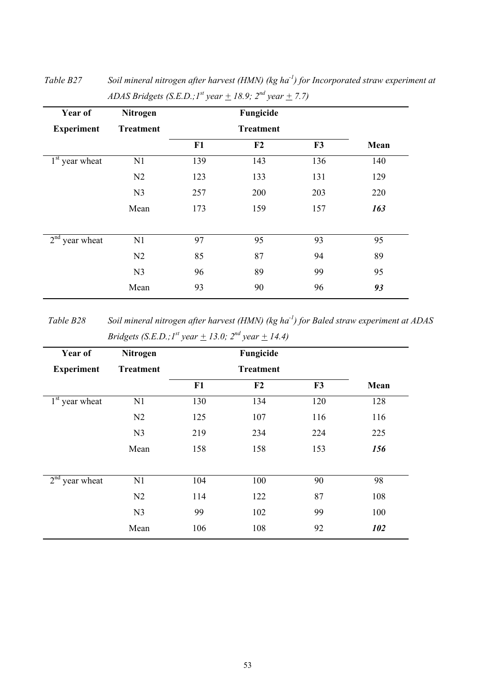| Year of           | Nitrogen         | Fungicide |     |     |      |
|-------------------|------------------|-----------|-----|-----|------|
| <b>Experiment</b> | <b>Treatment</b> |           |     |     |      |
|                   |                  | F1        | F2  | F3  | Mean |
| $1st$ year wheat  | N1               | 139       | 143 | 136 | 140  |
|                   | N2               | 123       | 133 | 131 | 129  |
|                   | N <sub>3</sub>   | 257       | 200 | 203 | 220  |
|                   | Mean             | 173       | 159 | 157 | 163  |
| $2nd$ year wheat  | N1               | 97        | 95  | 93  | 95   |
|                   |                  |           |     |     |      |
|                   | N <sub>2</sub>   | 85        | 87  | 94  | 89   |
|                   | N <sub>3</sub>   | 96        | 89  | 99  | 95   |
|                   | Mean             | 93        | 90  | 96  | 93   |

*Table B27 Soil mineral nitrogen after harvest (HMN) (kg ha-1) for Incorporated straw experiment at ADAS Bridgets (S.E.D.;1<sup>st</sup> year*  $+$  18.9;  $2^{nd}$  year  $+$  7.7)

*Table B28 Soil mineral nitrogen after harvest (HMN) (kg ha-1) for Baled straw experiment at ADAS Bridgets (S.E.D.;1<sup>st</sup> year*  $\pm$  *13.0; 2<sup>nd</sup> year*  $\pm$  *14.4)* 

| Year of           | <b>Nitrogen</b>  |                  | Fungicide |     |      |
|-------------------|------------------|------------------|-----------|-----|------|
| <b>Experiment</b> | <b>Treatment</b> | <b>Treatment</b> |           |     |      |
|                   |                  | F1               | F2        | F3  | Mean |
| $1st$ year wheat  | N1               | 130              | 134       | 120 | 128  |
|                   | N <sub>2</sub>   | 125              | 107       | 116 | 116  |
|                   | N <sub>3</sub>   | 219              | 234       | 224 | 225  |
|                   | Mean             | 158              | 158       | 153 | 156  |
| $2nd$ year wheat  | N1               | 104              | 100       | 90  | 98   |
|                   | N <sub>2</sub>   | 114              | 122       | 87  | 108  |
|                   | N <sub>3</sub>   | 99               | 102       | 99  | 100  |
|                   | Mean             | 106              | 108       | 92  | 102  |